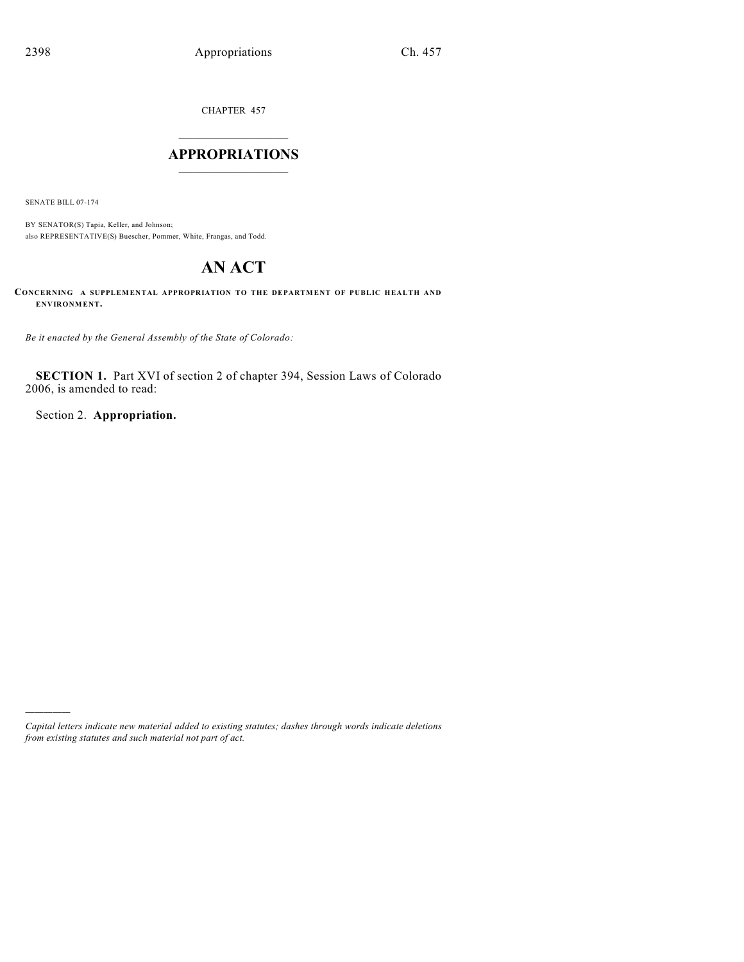CHAPTER 457  $\overline{\phantom{a}}$  . The set of the set of the set of the set of the set of the set of the set of the set of the set of the set of the set of the set of the set of the set of the set of the set of the set of the set of the set o

# **APPROPRIATIONS** \_\_\_\_\_\_\_\_\_\_\_\_\_\_\_

SENATE BILL 07-174

)))))

BY SENATOR(S) Tapia, Keller, and Johnson; also REPRESENTATIVE(S) Buescher, Pommer, White, Frangas, and Todd.

# **AN ACT**

**CONCERNING A SUPPLEMENTAL APPROPRIATION TO THE DEPARTMENT OF PUBLIC HEALTH AND ENVIRONMENT.**

*Be it enacted by the General Assembly of the State of Colorado:*

**SECTION 1.** Part XVI of section 2 of chapter 394, Session Laws of Colorado 2006, is amended to read:

Section 2. **Appropriation.**

*Capital letters indicate new material added to existing statutes; dashes through words indicate deletions from existing statutes and such material not part of act.*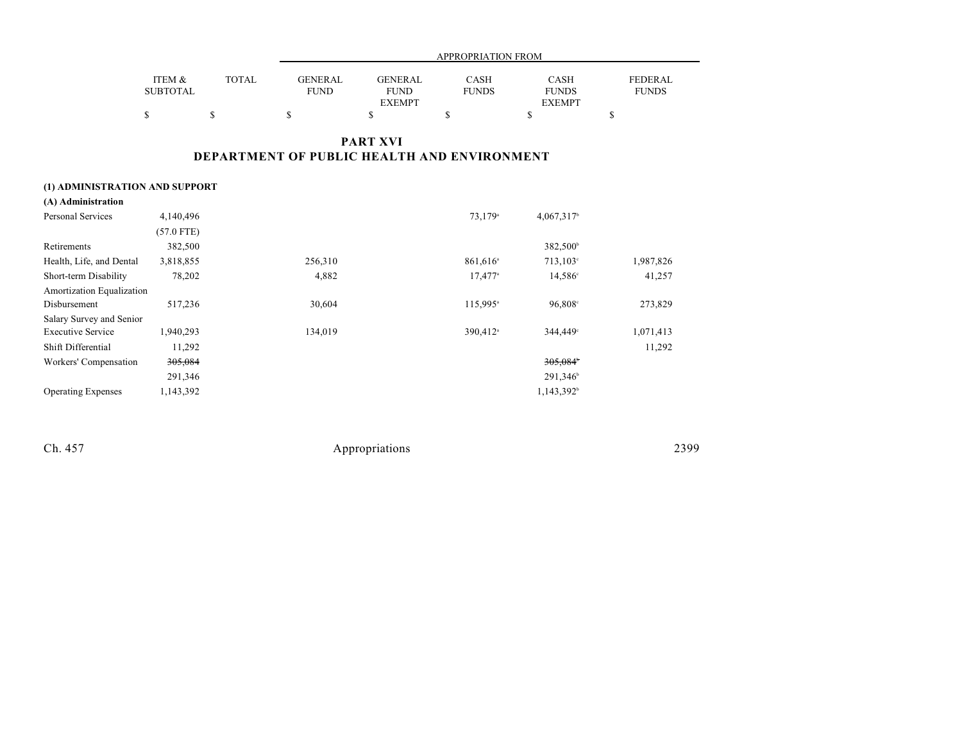|                 |              | APPROPRIATION FROM |                |              |               |              |  |
|-----------------|--------------|--------------------|----------------|--------------|---------------|--------------|--|
|                 |              |                    |                |              |               |              |  |
| ITEM &          | <b>TOTAL</b> | <b>GENERAL</b>     | <b>GENERAL</b> | <b>CASH</b>  | <b>CASH</b>   | FEDERAL      |  |
| <b>SUBTOTAL</b> |              | <b>FUND</b>        | <b>FUND</b>    | <b>FUNDS</b> | <b>FUNDS</b>  | <b>FUNDS</b> |  |
|                 |              |                    | <b>EXEMPT</b>  |              | <b>EXEMPT</b> |              |  |
|                 |              |                    |                |              |               |              |  |

# **PART XVI DEPARTMENT OF PUBLIC HEALTH AND ENVIRONMENT**

# **(1) ADMINISTRATION AND SUPPORT**

| (A) Administration        |              |         |                       |                        |           |
|---------------------------|--------------|---------|-----------------------|------------------------|-----------|
| <b>Personal Services</b>  | 4,140,496    |         | 73,179 <sup>a</sup>   | 4,067,317 <sup>b</sup> |           |
|                           | $(57.0$ FTE) |         |                       |                        |           |
| Retirements               | 382,500      |         |                       | 382,500 <sup>b</sup>   |           |
| Health, Life, and Dental  | 3,818,855    | 256,310 | 861,616 <sup>a</sup>  | $713,103^{\circ}$      | 1,987,826 |
| Short-term Disability     | 78,202       | 4,882   | $17,477$ <sup>a</sup> | $14,586^{\circ}$       | 41,257    |
| Amortization Equalization |              |         |                       |                        |           |
| Disbursement              | 517,236      | 30,604  | 115,995 <sup>a</sup>  | 96,808 <sup>c</sup>    | 273,829   |
| Salary Survey and Senior  |              |         |                       |                        |           |
| <b>Executive Service</b>  | 1,940,293    | 134,019 | 390,412 <sup>a</sup>  | 344,449°               | 1,071,413 |
| Shift Differential        | 11,292       |         |                       |                        | 11,292    |
| Workers' Compensation     | 305,084      |         |                       | 305,084                |           |
|                           | 291,346      |         |                       | 291,346 <sup>b</sup>   |           |
| <b>Operating Expenses</b> | 1,143,392    |         |                       | 1,143,392 <sup>b</sup> |           |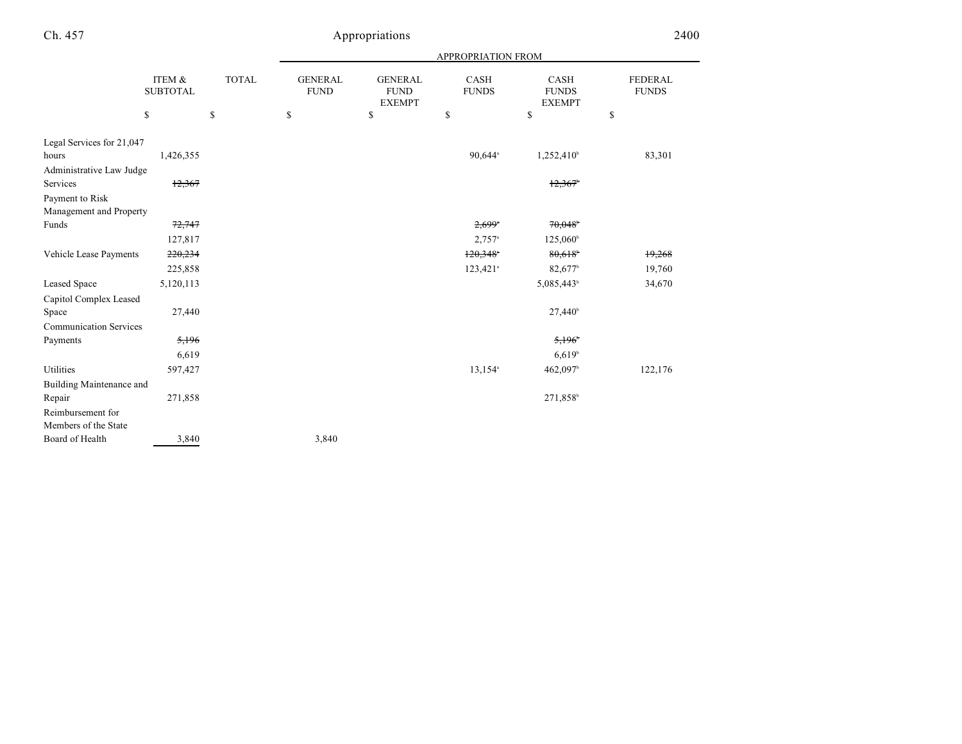|                               |                           |              |                               |                                                | <b>APPROPRIATION FROM</b>   |                                              |                                |
|-------------------------------|---------------------------|--------------|-------------------------------|------------------------------------------------|-----------------------------|----------------------------------------------|--------------------------------|
|                               | ITEM &<br><b>SUBTOTAL</b> | <b>TOTAL</b> | <b>GENERAL</b><br><b>FUND</b> | <b>GENERAL</b><br><b>FUND</b><br><b>EXEMPT</b> | <b>CASH</b><br><b>FUNDS</b> | <b>CASH</b><br><b>FUNDS</b><br><b>EXEMPT</b> | <b>FEDERAL</b><br><b>FUNDS</b> |
|                               | \$                        | \$           | \$                            | \$                                             | \$                          | \$                                           | \$                             |
| Legal Services for 21,047     |                           |              |                               |                                                |                             |                                              |                                |
| hours                         | 1,426,355                 |              |                               |                                                | 90,644 <sup>a</sup>         | $1,252,410^{\circ}$                          | 83,301                         |
| Administrative Law Judge      |                           |              |                               |                                                |                             |                                              |                                |
| Services                      | 12,367                    |              |                               |                                                |                             | 12,367                                       |                                |
| Payment to Risk               |                           |              |                               |                                                |                             |                                              |                                |
| Management and Property       |                           |              |                               |                                                |                             |                                              |                                |
| Funds                         | 72,747                    |              |                               |                                                | $2,699$ <sup>*</sup>        | 70,048                                       |                                |
|                               | 127,817                   |              |                               |                                                | $2,757$ <sup>a</sup>        | $125,060^{\circ}$                            |                                |
| Vehicle Lease Payments        | 220,234                   |              |                               |                                                | $120,348$ <sup>*</sup>      | 80,618                                       | 19,268                         |
|                               | 225,858                   |              |                               |                                                | 123,421 <sup>a</sup>        | 82,677 <sup>b</sup>                          | 19,760                         |
| <b>Leased Space</b>           | 5,120,113                 |              |                               |                                                |                             | 5,085,443 <sup>b</sup>                       | 34,670                         |
| Capitol Complex Leased        |                           |              |                               |                                                |                             |                                              |                                |
| Space                         | 27,440                    |              |                               |                                                |                             | 27,440 <sup>b</sup>                          |                                |
| <b>Communication Services</b> |                           |              |                               |                                                |                             |                                              |                                |
| Payments                      | 5,196                     |              |                               |                                                |                             | 5,196                                        |                                |
|                               | 6,619                     |              |                               |                                                |                             | 6,619                                        |                                |
| Utilities                     | 597,427                   |              |                               |                                                | 13,154 <sup>a</sup>         | 462,097b                                     | 122,176                        |
| Building Maintenance and      |                           |              |                               |                                                |                             |                                              |                                |
| Repair                        | 271,858                   |              |                               |                                                |                             | 271,858                                      |                                |
| Reimbursement for             |                           |              |                               |                                                |                             |                                              |                                |
| Members of the State          |                           |              |                               |                                                |                             |                                              |                                |
| Board of Health               | 3,840                     |              | 3,840                         |                                                |                             |                                              |                                |
|                               |                           |              |                               |                                                |                             |                                              |                                |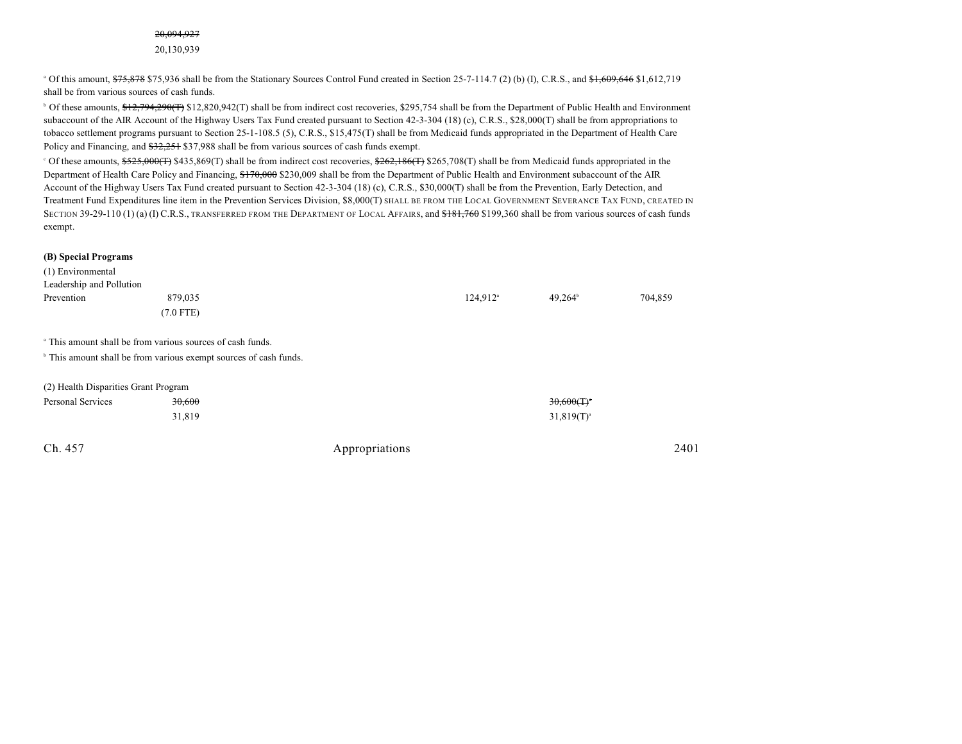#### 20,094,927

20,130,939

 $\degree$  Of this amount,  $\frac{$75,878}{$75,878}$  \$75,936 shall be from the Stationary Sources Control Fund created in Section 25-7-114.7 (2) (b) (I), C.R.S., and  $\frac{$1,609,646}{$1,612,719}$ shall be from various sources of cash funds.

<sup>b</sup> Of these amounts, \$12,794,290(T) \$12,820,942(T) shall be from indirect cost recoveries, \$295,754 shall be from the Department of Public Health and Environment subaccount of the AIR Account of the Highway Users Tax Fund created pursuant to Section 42-3-304 (18) (c), C.R.S., \$28,000(T) shall be from appropriations to tobacco settlement programs pursuant to Section 25-1-108.5 (5), C.R.S., \$15,475(T) shall be from Medicaid funds appropriated in the Department of Health Care Policy and Financing, and  $\frac{22.251}{27.988}$  shall be from various sources of cash funds exempt.

 $\degree$  Of these amounts,  $\frac{2525,000(F)}{2435,869(T)}$  shall be from indirect cost recoveries,  $\frac{262,186(F)}{265,708(T)}$  shall be from Medicaid funds appropriated in the Department of Health Care Policy and Financing, \$170,000 \$230,009 shall be from the Department of Public Health and Environment subaccount of the AIR Account of the Highway Users Tax Fund created pursuant to Section 42-3-304 (18) (c), C.R.S., \$30,000(T) shall be from the Prevention, Early Detection, and Treatment Fund Expenditures line item in the Prevention Services Division, \$8,000(T) SHALL BE FROM THE LOCAL GOVERNMENT SEVERANCE TAX FUND, CREATED IN SECTION 39-29-110 (1) (a) (I) C.R.S., TRANSFERRED FROM THE DEPARTMENT OF LOCAL AFFAIRS, and \$181,760 \$199,360 shall be from various sources of cash funds exempt.

#### **(B) Special Programs**

| (1) Environmental                    |                                                                              |                |                      |                          |         |
|--------------------------------------|------------------------------------------------------------------------------|----------------|----------------------|--------------------------|---------|
| Leadership and Pollution             |                                                                              |                |                      |                          |         |
| Prevention                           | 879,035                                                                      |                | 124,912 <sup>a</sup> | $49,264^{\circ}$         | 704,859 |
|                                      | $(7.0$ FTE)                                                                  |                |                      |                          |         |
|                                      | <sup>a</sup> This amount shall be from various sources of cash funds.        |                |                      |                          |         |
|                                      | <sup>b</sup> This amount shall be from various exempt sources of cash funds. |                |                      |                          |         |
| (2) Health Disparities Grant Program |                                                                              |                |                      |                          |         |
| <b>Personal Services</b>             | 30,600                                                                       |                |                      | $30,600(T)$ <sup>*</sup> |         |
|                                      | 31,819                                                                       |                |                      | $31,819(T)^{a}$          |         |
| Ch. 457                              |                                                                              | Appropriations |                      |                          | 2401    |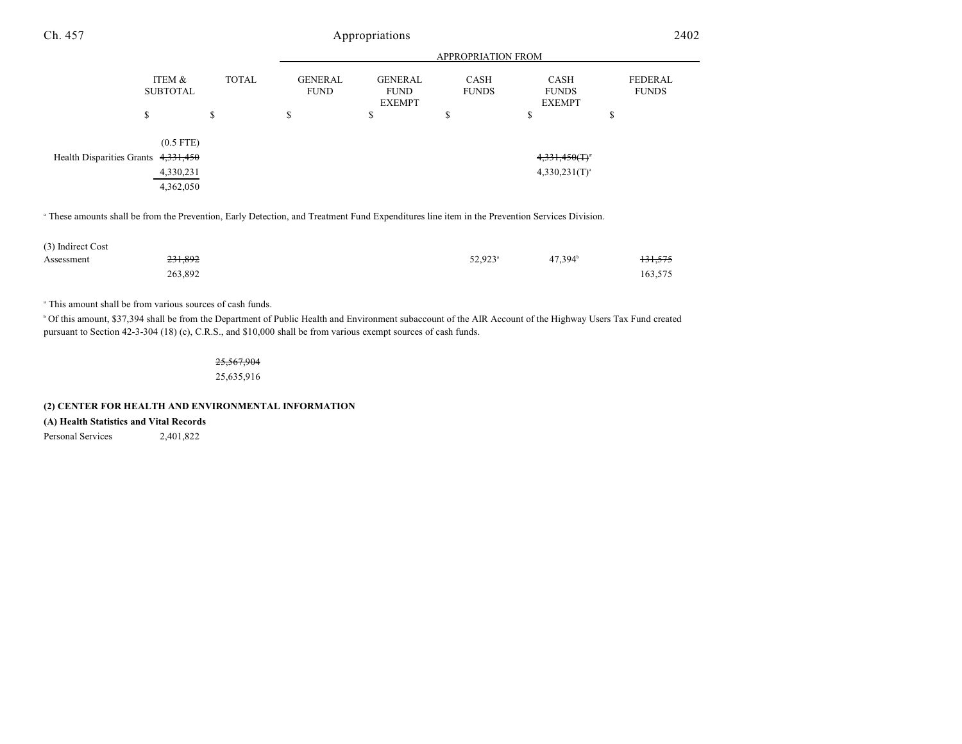| Ch. 457 |                                     | Appropriations |                               |                                                |                             |                                       |                                |
|---------|-------------------------------------|----------------|-------------------------------|------------------------------------------------|-----------------------------|---------------------------------------|--------------------------------|
|         |                                     |                |                               | APPROPRIATION FROM                             |                             |                                       |                                |
|         | ITEM &<br><b>SUBTOTAL</b>           | <b>TOTAL</b>   | <b>GENERAL</b><br><b>FUND</b> | <b>GENERAL</b><br><b>FUND</b><br><b>EXEMPT</b> | <b>CASH</b><br><b>FUNDS</b> | CASH<br><b>FUNDS</b><br><b>EXEMPT</b> | <b>FEDERAL</b><br><b>FUNDS</b> |
|         | \$                                  | \$             | \$                            | \$                                             | \$                          | \$                                    | D                              |
|         | $(0.5$ FTE)                         |                |                               |                                                |                             |                                       |                                |
|         | Health Disparities Grants 4,331,450 |                |                               |                                                |                             | $4,331,450($ T) <sup>*</sup>          |                                |
|         | 4,330,231                           |                |                               |                                                |                             | $4,330,231(T)^{a}$                    |                                |
|         | 4,362,050                           |                |                               |                                                |                             |                                       |                                |

<sup>a</sup> These amounts shall be from the Prevention, Early Detection, and Treatment Fund Expenditures line item in the Prevention Services Division.

| (3) Indirect Cost |                    |                     |                     |         |
|-------------------|--------------------|---------------------|---------------------|---------|
| Assessment        | <del>231,892</del> | 52,923 <sup>a</sup> | 47.394 <sup>b</sup> | 131,575 |
|                   | 263.892            |                     |                     | 163,575 |

<sup>a</sup> This amount shall be from various sources of cash funds.

<sup>b</sup> Of this amount, \$37,394 shall be from the Department of Public Health and Environment subaccount of the AIR Account of the Highway Users Tax Fund created pursuant to Section 42-3-304 (18) (c), C.R.S., and \$10,000 shall be from various exempt sources of cash funds.

> 25,567,904 25,635,916

#### **(2) CENTER FOR HEALTH AND ENVIRONMENTAL INFORMATION**

**(A) Health Statistics and Vital Records**

Personal Services 2,401,822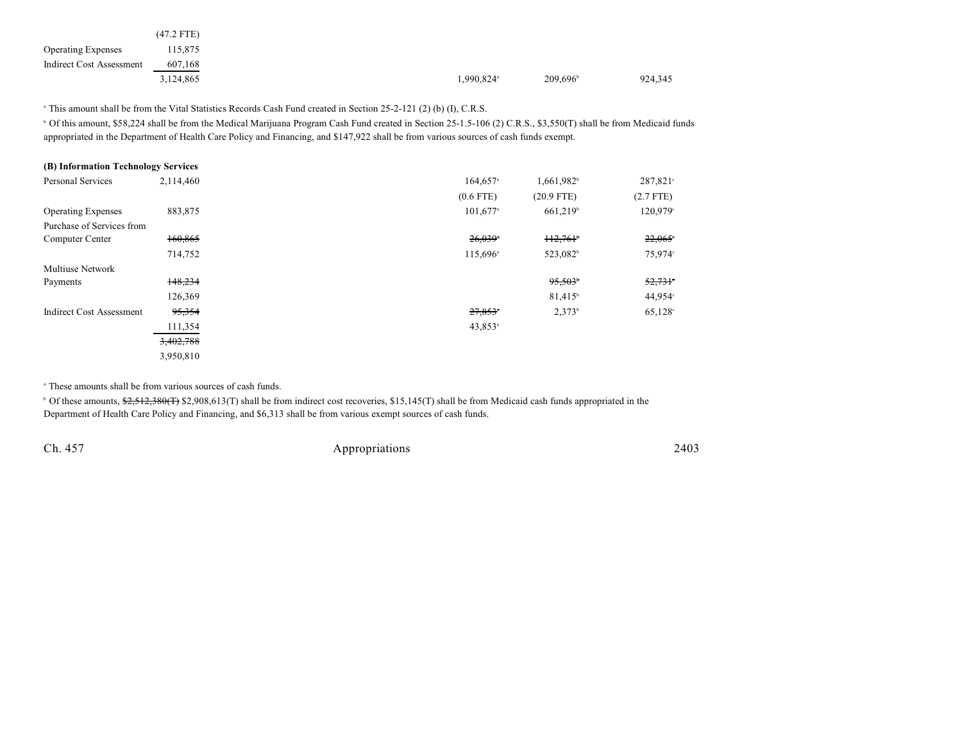|                           | $(47.2$ FTE) |
|---------------------------|--------------|
| <b>Operating Expenses</b> | 115,875      |
| Indirect Cost Assessment  | 607,168      |
|                           | 3,124,865    |

<sup>a</sup> This amount shall be from the Vital Statistics Records Cash Fund created in Section 25-2-121 (2) (b) (I), C.R.S.

<sup>b</sup> Of this amount, \$58,224 shall be from the Medical Marijuana Program Cash Fund created in Section 25-1.5-106 (2) C.R.S., \$3,550(T) shall be from Medicaid funds appropriated in the Department of Health Care Policy and Financing, and \$147,922 shall be from various sources of cash funds exempt.

| (B) Information Technology Services |           |                        |                        |                   |
|-------------------------------------|-----------|------------------------|------------------------|-------------------|
| <b>Personal Services</b>            | 2,114,460 | $164,657$ <sup>a</sup> | 1,661,982 <sup>b</sup> | $287,821^{\circ}$ |
|                                     |           | $(0.6$ FTE)            | $(20.9$ FTE)           | $(2.7$ FTE)       |
| <b>Operating Expenses</b>           | 883,875   | 101,677 <sup>a</sup>   | 661,219 <sup>b</sup>   | 120,979°          |
| Purchase of Services from           |           |                        |                        |                   |
| Computer Center                     | 160,865   | $26,039$ <sup>*</sup>  | H2,761                 | 22,065            |
|                                     | 714,752   | 115,696 <sup>a</sup>   | 523,082 <sup>b</sup>   | 75,974°           |
| <b>Multiuse Network</b>             |           |                        |                        |                   |
| Payments                            | 148,234   |                        | 95,503                 | 52,731            |
|                                     | 126,369   |                        | 81,415 <sup>b</sup>    | $44,954^\circ$    |
| <b>Indirect Cost Assessment</b>     | 95,354    | 27,853"                | $2,373^b$              | $65,128^{\circ}$  |
|                                     | 111,354   | $43,853$ <sup>a</sup>  |                        |                   |
|                                     | 3,402,788 |                        |                        |                   |
|                                     | 3,950,810 |                        |                        |                   |

<sup>a</sup> These amounts shall be from various sources of cash funds.

<sup>b</sup> Of these amounts, \$2,512,380(T) \$2,908,613(T) shall be from indirect cost recoveries, \$15,145(T) shall be from Medicaid cash funds appropriated in the Department of Health Care Policy and Financing, and \$6,313 shall be from various exempt sources of cash funds.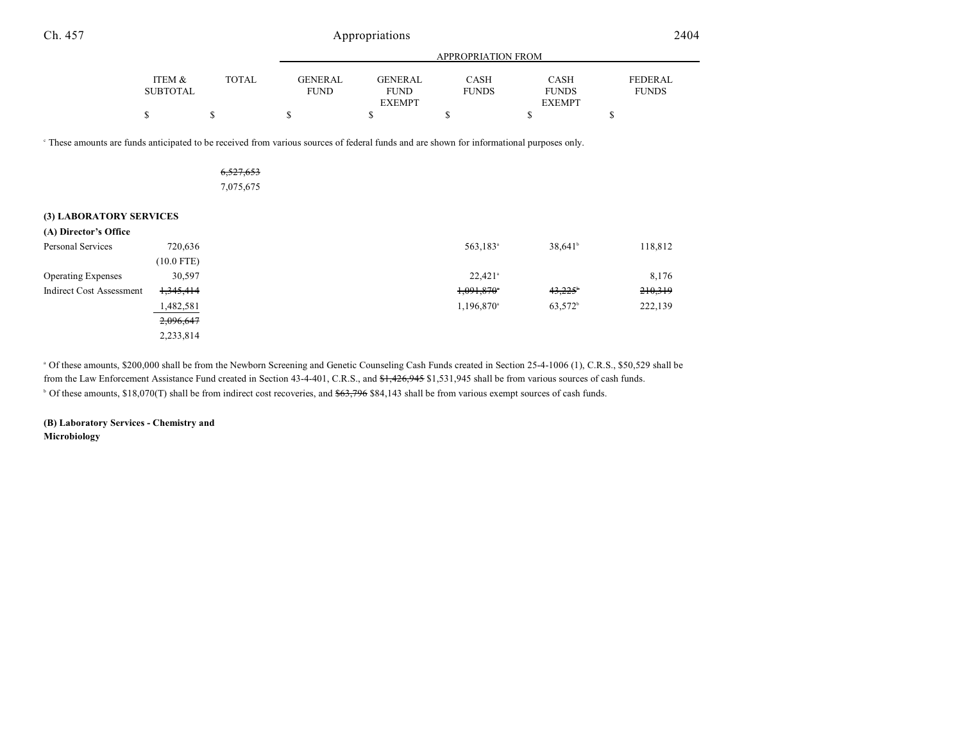| Ch. 457                                                                                                                                              | Appropriations            |              |                               |                                                |                             |                                              | 2404                           |
|------------------------------------------------------------------------------------------------------------------------------------------------------|---------------------------|--------------|-------------------------------|------------------------------------------------|-----------------------------|----------------------------------------------|--------------------------------|
|                                                                                                                                                      |                           |              |                               | APPROPRIATION FROM                             |                             |                                              |                                |
|                                                                                                                                                      | ITEM &<br><b>SUBTOTAL</b> | <b>TOTAL</b> | <b>GENERAL</b><br><b>FUND</b> | <b>GENERAL</b><br><b>FUND</b><br><b>EXEMPT</b> | <b>CASH</b><br><b>FUNDS</b> | <b>CASH</b><br><b>FUNDS</b><br><b>EXEMPT</b> | <b>FEDERAL</b><br><b>FUNDS</b> |
|                                                                                                                                                      | \$                        | \$           | \$                            | \$                                             | \$                          | \$                                           | \$                             |
| <sup>c</sup> These amounts are funds anticipated to be received from various sources of federal funds and are shown for informational purposes only. |                           | 6,527,653    |                               |                                                |                             |                                              |                                |
|                                                                                                                                                      |                           | 7,075,675    |                               |                                                |                             |                                              |                                |
| (3) LABORATORY SERVICES                                                                                                                              |                           |              |                               |                                                |                             |                                              |                                |
| (A) Director's Office                                                                                                                                |                           |              |                               |                                                |                             |                                              |                                |
| Personal Services                                                                                                                                    | 720,636                   |              |                               |                                                | 563,183 <sup>a</sup>        | $38,641^b$                                   | 118,812                        |
|                                                                                                                                                      | $(10.0$ FTE)              |              |                               |                                                |                             |                                              |                                |
| <b>Operating Expenses</b>                                                                                                                            | 30,597                    |              |                               |                                                | $22,421$ <sup>a</sup>       |                                              | 8,176                          |
| <b>Indirect Cost Assessment</b>                                                                                                                      | 1,345,414                 |              |                               |                                                | 1,091,870                   | 43,225                                       | 210,319                        |
|                                                                                                                                                      | 1,482,581                 |              |                               |                                                | 1,196,870 <sup>a</sup>      | 63,572 <sup>b</sup>                          | 222,139                        |
|                                                                                                                                                      | 2,096,647                 |              |                               |                                                |                             |                                              |                                |
|                                                                                                                                                      | 2,233,814                 |              |                               |                                                |                             |                                              |                                |

<sup>a</sup> Of these amounts, \$200,000 shall be from the Newborn Screening and Genetic Counseling Cash Funds created in Section 25-4-1006 (1), C.R.S., \$50,529 shall be from the Law Enforcement Assistance Fund created in Section 43-4-401, C.R.S., and \$1,426,945 \$1,531,945 shall be from various sources of cash funds.  $\degree$  Of these amounts, \$18,070(T) shall be from indirect cost recoveries, and  $$63,796$  \$84,143 shall be from various exempt sources of cash funds.

**(B) Laboratory Services - Chemistry and Microbiology**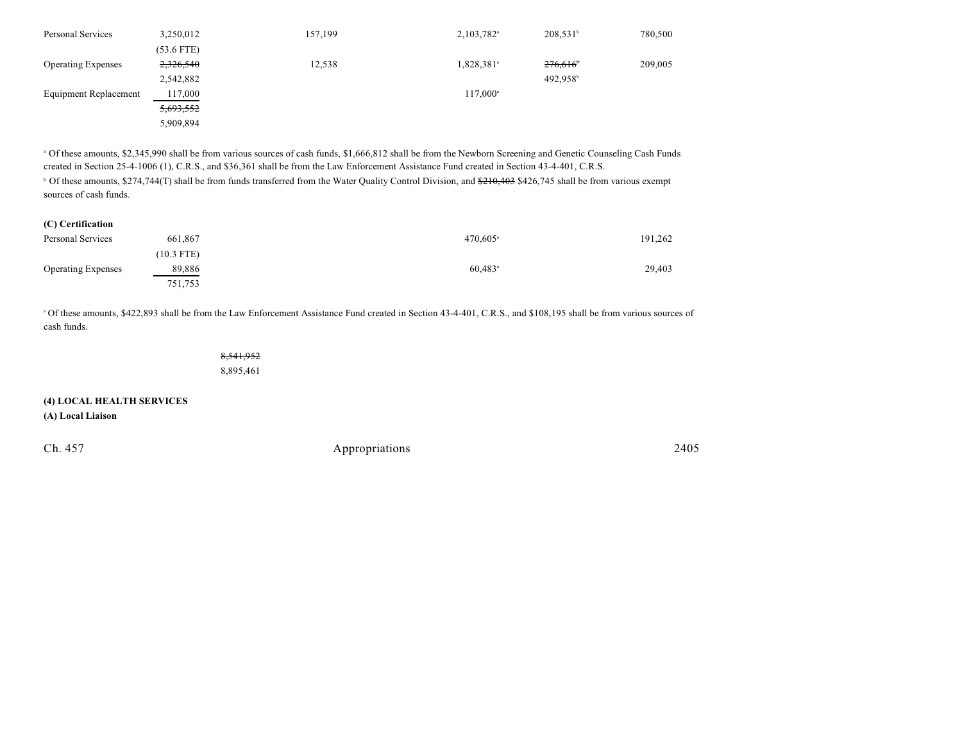| Personal Services         | 3,250,012    | 157,199 | 2,103,782 <sup>a</sup> | $208,531^b$          | 780,500 |
|---------------------------|--------------|---------|------------------------|----------------------|---------|
|                           | $(53.6$ FTE) |         |                        |                      |         |
| <b>Operating Expenses</b> | 2,326,540    | 12,538  | 1,828,381 <sup>a</sup> | 276,616              | 209,005 |
|                           | 2,542,882    |         |                        | 492.958 <sup>b</sup> |         |
| Equipment Replacement     | 117,000      |         | 117,000 <sup>a</sup>   |                      |         |
|                           | 5,693,552    |         |                        |                      |         |
|                           | 5,909,894    |         |                        |                      |         |

<sup>a</sup> Of these amounts, \$2,345,990 shall be from various sources of cash funds, \$1,666,812 shall be from the Newborn Screening and Genetic Counseling Cash Funds created in Section 25-4-1006 (1), C.R.S., and \$36,361 shall be from the Law Enforcement Assistance Fund created in Section 43-4-401, C.R.S.

<sup>b</sup> Of these amounts, \$274,744(T) shall be from funds transferred from the Water Quality Control Division, and <del>\$210,403</del> \$426,745 shall be from various exempt sources of cash funds.

| Personal Services         | 661,867      | $470,605$ <sup>a</sup> | 191,262 |
|---------------------------|--------------|------------------------|---------|
|                           | $(10.3$ FTE) |                        |         |
| <b>Operating Expenses</b> | 89,886       | $60,483$ <sup>a</sup>  | 29,403  |
|                           | 751,753      |                        |         |

Of these amounts, \$422,893 shall be from the Law Enforcement Assistance Fund created in Section 43-4-401, C.R.S., and \$108,195 shall be from various sources of <sup>a</sup> cash funds.

> 8,541,952 8,895,461

**(4) LOCAL HEALTH SERVICES**

**(A) Local Liaison**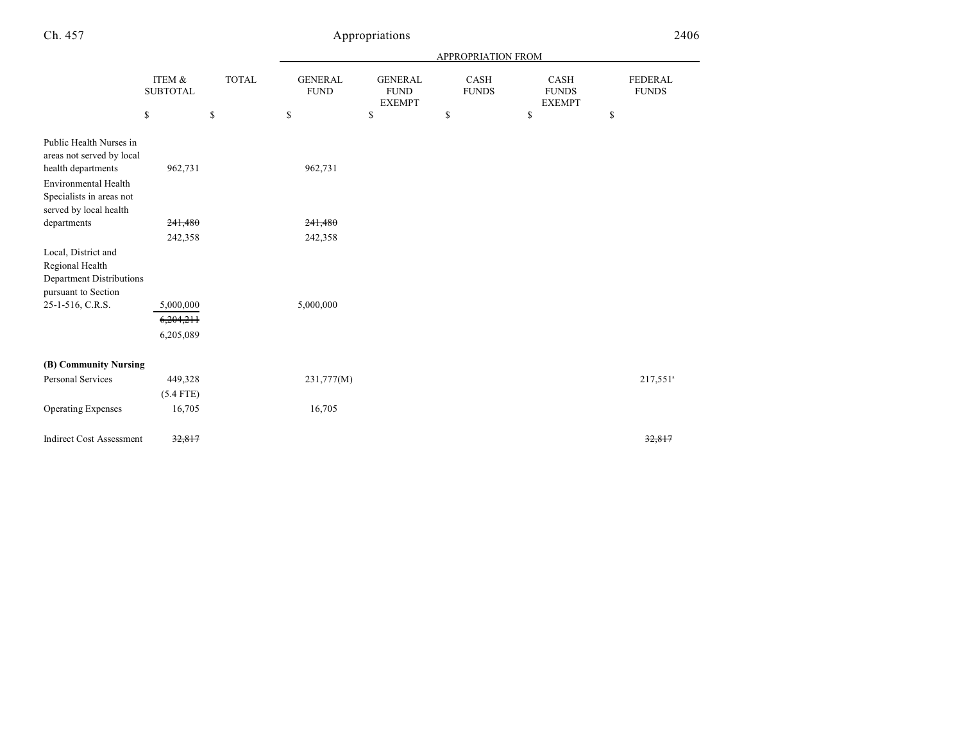# Appropriations 24

| 406 |  |  |  |
|-----|--|--|--|
|     |  |  |  |

|                                                                                                                                |                           |              |                               |                                                | APPROPRIATION FROM   |                                       |                                |
|--------------------------------------------------------------------------------------------------------------------------------|---------------------------|--------------|-------------------------------|------------------------------------------------|----------------------|---------------------------------------|--------------------------------|
|                                                                                                                                | ITEM &<br><b>SUBTOTAL</b> | <b>TOTAL</b> | <b>GENERAL</b><br><b>FUND</b> | <b>GENERAL</b><br><b>FUND</b><br><b>EXEMPT</b> | CASH<br><b>FUNDS</b> | CASH<br><b>FUNDS</b><br><b>EXEMPT</b> | <b>FEDERAL</b><br><b>FUNDS</b> |
|                                                                                                                                | \$                        | $\mathbb{S}$ | \$                            | \$                                             | \$                   | \$                                    | \$                             |
| Public Health Nurses in<br>areas not served by local<br>health departments<br>Environmental Health<br>Specialists in areas not | 962,731                   |              | 962,731                       |                                                |                      |                                       |                                |
| served by local health                                                                                                         |                           |              |                               |                                                |                      |                                       |                                |
| departments                                                                                                                    | 241,480                   |              | 241,480                       |                                                |                      |                                       |                                |
| Local, District and<br>Regional Health<br>Department Distributions<br>pursuant to Section                                      | 242,358                   |              | 242,358                       |                                                |                      |                                       |                                |
| 25-1-516, C.R.S.                                                                                                               | 5,000,000                 |              | 5,000,000                     |                                                |                      |                                       |                                |
|                                                                                                                                | 6,204,211                 |              |                               |                                                |                      |                                       |                                |
|                                                                                                                                | 6,205,089                 |              |                               |                                                |                      |                                       |                                |
| (B) Community Nursing                                                                                                          |                           |              |                               |                                                |                      |                                       |                                |
| Personal Services                                                                                                              | 449,328                   |              | 231,777(M)                    |                                                |                      |                                       | 217,551 <sup>a</sup>           |
|                                                                                                                                | $(5.4$ FTE)               |              |                               |                                                |                      |                                       |                                |
| <b>Operating Expenses</b>                                                                                                      | 16,705                    |              | 16,705                        |                                                |                      |                                       |                                |
| <b>Indirect Cost Assessment</b>                                                                                                | 32,817                    |              |                               |                                                |                      |                                       | 32,817                         |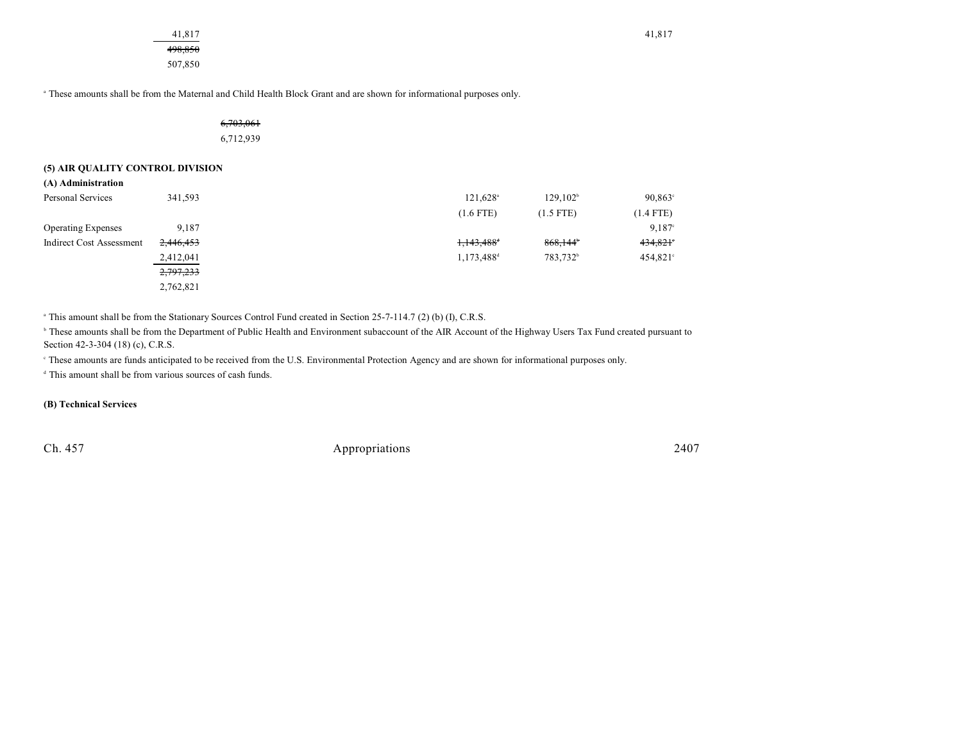498,850 507,850

<sup>a</sup> These amounts shall be from the Maternal and Child Health Block Grant and are shown for informational purposes only.

6,703,061 6,712,939

## **(5) AIR QUALITY CONTROL DIVISION**

**(A) Administration**

| Personal Services         | 341,593   | 121,628 <sup>a</sup>     | 129.102 <sup>b</sup>   | $90,863^{\circ}$ |
|---------------------------|-----------|--------------------------|------------------------|------------------|
|                           |           | $(1.6$ FTE)              | $(1.5$ FTE)            | $(1.4$ FTE)      |
| <b>Operating Expenses</b> | 9.187     |                          |                        | 9.187°           |
| Indirect Cost Assessment  | 2,446,453 | $1,143,488$ <sup>t</sup> | $868,144$ <sup>t</sup> | 434,821          |
|                           | 2,412,041 | 1,173,488 <sup>d</sup>   | 783,732 <sup>b</sup>   | $454,821$ °      |
|                           | 2,797,233 |                          |                        |                  |
|                           | 2,762,821 |                          |                        |                  |

<sup>a</sup> This amount shall be from the Stationary Sources Control Fund created in Section 25-7-114.7 (2) (b) (I), C.R.S.

<sup>h</sup> These amounts shall be from the Department of Public Health and Environment subaccount of the AIR Account of the Highway Users Tax Fund created pursuant to Section 42-3-304 (18) (c), C.R.S.

These amounts are funds anticipated to be received from the U.S. Environmental Protection Agency and are shown for informational purposes only. <sup>c</sup>

 $\alpha$ <sup>d</sup> This amount shall be from various sources of cash funds.

**(B) Technical Services**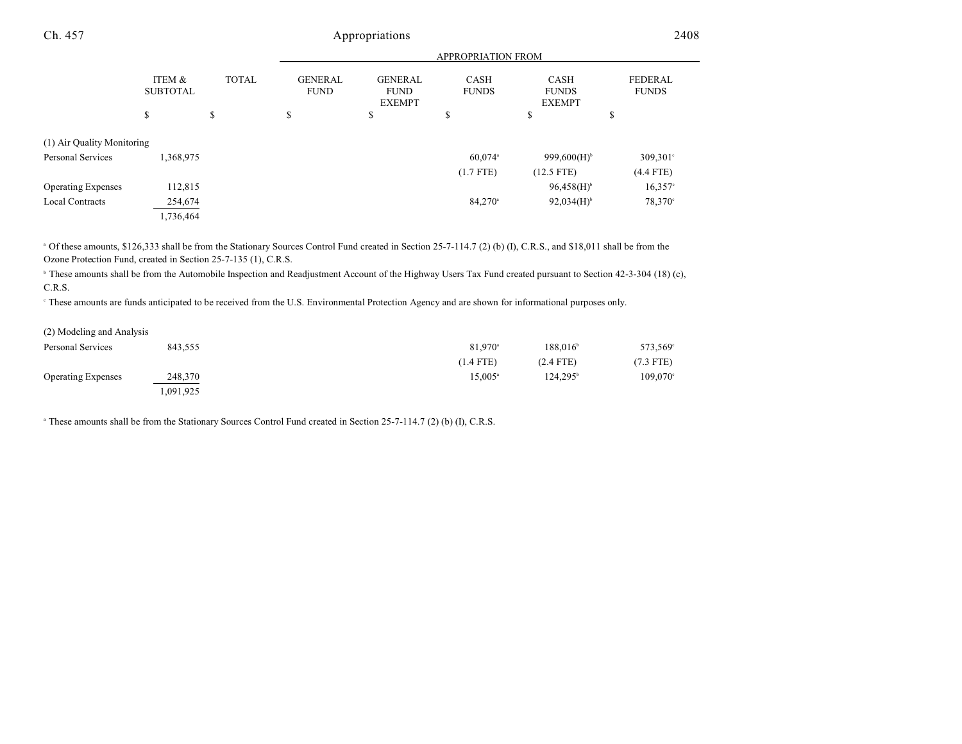| Ch. 457                    |                           | Appropriations            |                               |                                                |                             |                                              | 2408                           |  |
|----------------------------|---------------------------|---------------------------|-------------------------------|------------------------------------------------|-----------------------------|----------------------------------------------|--------------------------------|--|
|                            |                           | <b>APPROPRIATION FROM</b> |                               |                                                |                             |                                              |                                |  |
|                            | ITEM &<br><b>SUBTOTAL</b> | <b>TOTAL</b>              | <b>GENERAL</b><br><b>FUND</b> | <b>GENERAL</b><br><b>FUND</b><br><b>EXEMPT</b> | <b>CASH</b><br><b>FUNDS</b> | <b>CASH</b><br><b>FUNDS</b><br><b>EXEMPT</b> | <b>FEDERAL</b><br><b>FUNDS</b> |  |
|                            | S                         | Ф.<br>ъ                   | \$                            | \$                                             | \$                          | \$                                           | \$                             |  |
| (1) Air Quality Monitoring |                           |                           |                               |                                                |                             |                                              |                                |  |
| Personal Services          | 1,368,975                 |                           |                               |                                                | 60,074 <sup>a</sup>         | 999,600(H) <sup>b</sup>                      | $309,301$ °                    |  |
|                            |                           |                           |                               |                                                | $(1.7$ FTE)                 | $(12.5$ FTE)                                 | $(4.4$ FTE)                    |  |
| <b>Operating Expenses</b>  | 112,815                   |                           |                               |                                                |                             | $96,458(H)$ <sup>b</sup>                     | $16,357^{\circ}$               |  |
| <b>Local Contracts</b>     | 254,674                   |                           |                               |                                                | 84,270 <sup>a</sup>         | $92,034(H)$ <sup>b</sup>                     | 78,370 <sup>c</sup>            |  |

<sup>a</sup> Of these amounts, \$126,333 shall be from the Stationary Sources Control Fund created in Section 25-7-114.7 (2) (b) (I), C.R.S., and \$18,011 shall be from the Ozone Protection Fund, created in Section 25-7-135 (1), C.R.S.

<sup>b</sup> These amounts shall be from the Automobile Inspection and Readjustment Account of the Highway Users Tax Fund created pursuant to Section 42-3-304 (18) (c), C.R.S.

These amounts are funds anticipated to be received from the U.S. Environmental Protection Agency and are shown for informational purposes only. <sup>c</sup>

| (2) Modeling and Analysis |          |                  |                      |             |
|---------------------------|----------|------------------|----------------------|-------------|
| Personal Services         | 843,555  | $81.970^{\circ}$ | 188.016 <sup>b</sup> | 573,569     |
|                           |          | $(1.4$ FTE)      | $(2.4$ FTE)          | $(7.3$ FTE) |
| <b>Operating Expenses</b> | 248,370  | $15.005^{\circ}$ | $124.295^{\circ}$    | 109,070     |
|                           | .091,925 |                  |                      |             |

<sup>a</sup> These amounts shall be from the Stationary Sources Control Fund created in Section 25-7-114.7 (2) (b) (I), C.R.S.

1,736,464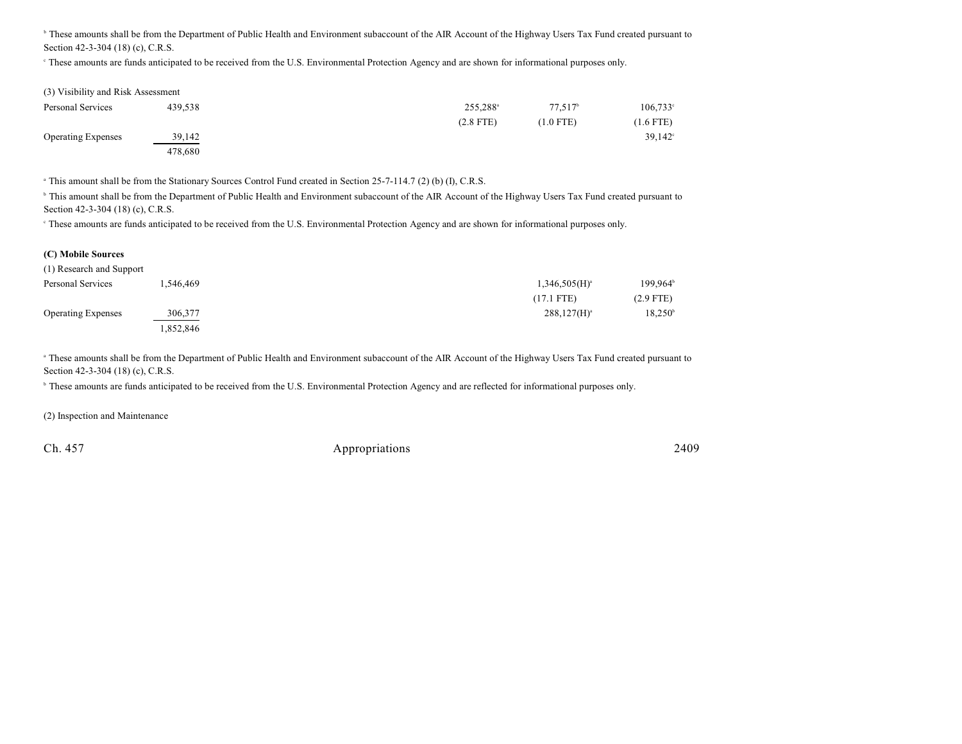<sup>h</sup> These amounts shall be from the Department of Public Health and Environment subaccount of the AIR Account of the Highway Users Tax Fund created pursuant to Section 42-3-304 (18) (c), C.R.S.

<sup>e</sup> These amounts are funds anticipated to be received from the U.S. Environmental Protection Agency and are shown for informational purposes only.

| (3) Visibility and Risk Assessment |         |                      |             |                     |
|------------------------------------|---------|----------------------|-------------|---------------------|
| Personal Services                  | 439.538 | 255.288 <sup>a</sup> | $77.517^b$  | 106,733             |
|                                    |         | $(2.8$ FTE)          | $(1.0$ FTE) | $(1.6$ FTE)         |
| <b>Operating Expenses</b>          | 39,142  |                      |             | 39.142 <sup>°</sup> |
|                                    | 478,680 |                      |             |                     |

<sup>a</sup> This amount shall be from the Stationary Sources Control Fund created in Section 25-7-114.7 (2) (b) (I), C.R.S.

<sup>h</sup> This amount shall be from the Department of Public Health and Environment subaccount of the AIR Account of the Highway Users Tax Fund created pursuant to Section 42-3-304 (18) (c), C.R.S.

These amounts are funds anticipated to be received from the U.S. Environmental Protection Agency and are shown for informational purposes only. <sup>c</sup>

#### **(C) Mobile Sources**

| (1) Research and Support  |          |                    |                   |
|---------------------------|----------|--------------------|-------------------|
| Personal Services         | .546.469 | $1,346,505(H)^{3}$ | $199,964^{\circ}$ |
|                           |          | $(17.1$ FTE)       | $(2.9$ FTE)       |
| <b>Operating Expenses</b> | 306,377  | $288,127(H)^{a}$   | $18,250^{\circ}$  |
|                           | 852,846. |                    |                   |

These amounts shall be from the Department of Public Health and Environment subaccount of the AIR Account of the Highway Users Tax Fund created pursuant to Section 42-3-304 (18) (c), C.R.S.

<sup>b</sup> These amounts are funds anticipated to be received from the U.S. Environmental Protection Agency and are reflected for informational purposes only.

(2) Inspection and Maintenance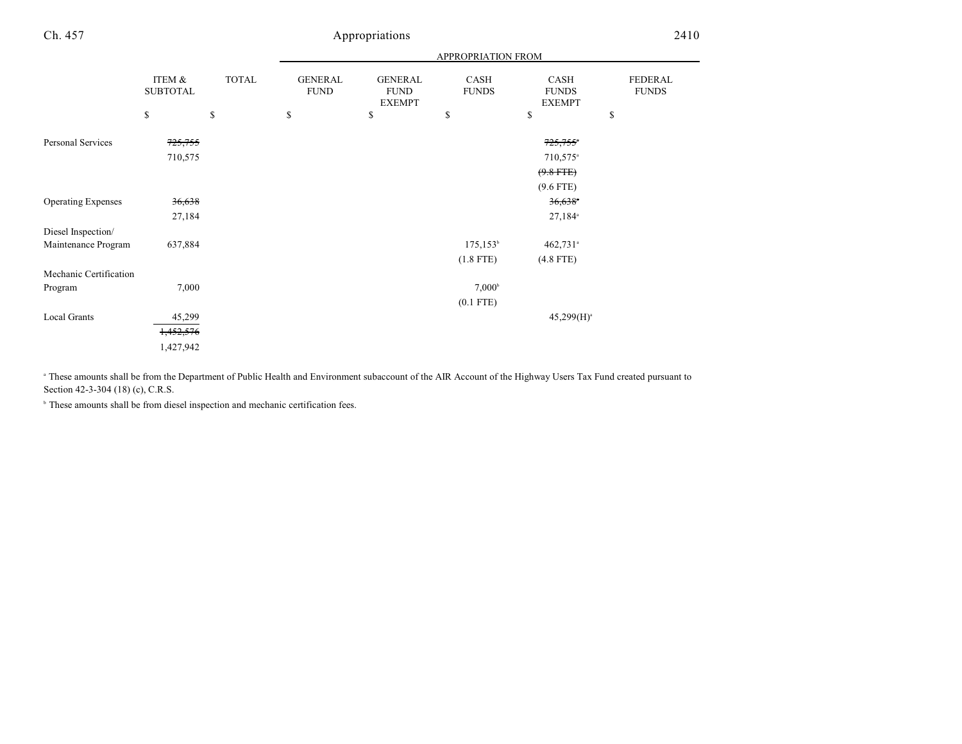| Ch. 457                   |                           |              | Appropriations                |                                                |                             | 2410                                         |                                |  |
|---------------------------|---------------------------|--------------|-------------------------------|------------------------------------------------|-----------------------------|----------------------------------------------|--------------------------------|--|
|                           |                           |              |                               | APPROPRIATION FROM                             |                             |                                              |                                |  |
|                           | ITEM &<br><b>SUBTOTAL</b> | <b>TOTAL</b> | <b>GENERAL</b><br><b>FUND</b> | <b>GENERAL</b><br><b>FUND</b><br><b>EXEMPT</b> | <b>CASH</b><br><b>FUNDS</b> | <b>CASH</b><br><b>FUNDS</b><br><b>EXEMPT</b> | <b>FEDERAL</b><br><b>FUNDS</b> |  |
|                           | \$                        | \$           | \$                            | \$                                             | \$                          | \$                                           | \$                             |  |
| Personal Services         | 725,755                   |              |                               |                                                |                             | $725,755$ *                                  |                                |  |
|                           | 710,575                   |              |                               |                                                |                             | 710,575 <sup>a</sup>                         |                                |  |
|                           |                           |              |                               |                                                |                             | $(9.8$ FTE)                                  |                                |  |
|                           |                           |              |                               |                                                |                             | $(9.6$ FTE)                                  |                                |  |
| <b>Operating Expenses</b> | 36,638                    |              |                               |                                                |                             | $36,638$ <sup>*</sup>                        |                                |  |
|                           | 27,184                    |              |                               |                                                |                             | 27,184 <sup>a</sup>                          |                                |  |
| Diesel Inspection/        |                           |              |                               |                                                |                             |                                              |                                |  |
| Maintenance Program       | 637,884                   |              |                               |                                                | $175, 153^{\circ}$          | $462,731$ <sup>a</sup>                       |                                |  |
|                           |                           |              |                               |                                                | $(1.8$ FTE)                 | $(4.8$ FTE)                                  |                                |  |
| Mechanic Certification    |                           |              |                               |                                                |                             |                                              |                                |  |
| Program                   | 7,000                     |              |                               |                                                | $7,000^{\rm b}$             |                                              |                                |  |
|                           |                           |              |                               |                                                | $(0.1$ FTE)                 |                                              |                                |  |
| Local Grants              | 45,299                    |              |                               |                                                |                             | $45,299(H)^{a}$                              |                                |  |

1,452,576 1,427,942

These amounts shall be from the Department of Public Health and Environment subaccount of the AIR Account of the Highway Users Tax Fund created pursuant to Section 42-3-304 (18) (c), C.R.S.

 $\,^{\circ}$  These amounts shall be from diesel inspection and mechanic certification fees.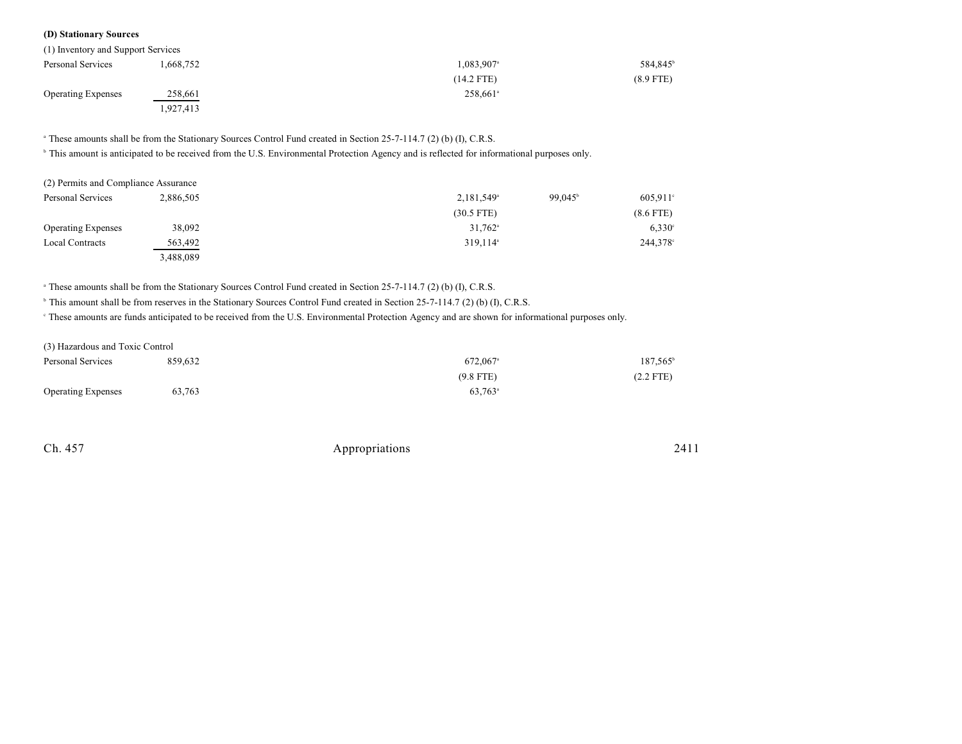### **(D) Stationary Sources**

| (1) Inventory and Support Services |           |                          |                      |
|------------------------------------|-----------|--------------------------|----------------------|
| Personal Services                  | 1,668,752 | $1,083,907$ <sup>a</sup> | 584,845 <sup>b</sup> |
|                                    |           | $(14.2$ FTE)             | $(8.9$ FTE)          |
| <b>Operating Expenses</b>          | 258,661   | 258.661 <sup>a</sup>     |                      |
|                                    | 1,927,413 |                          |                      |

<sup>a</sup> These amounts shall be from the Stationary Sources Control Fund created in Section 25-7-114.7 (2) (b) (I), C.R.S.

<sup>b</sup> This amount is anticipated to be received from the U.S. Environmental Protection Agency and is reflected for informational purposes only.

| (2) Permits and Compliance Assurance |           |                        |                  |                      |
|--------------------------------------|-----------|------------------------|------------------|----------------------|
| Personal Services                    | 2.886.505 | 2,181,549 <sup>a</sup> | $99.045^{\circ}$ | $605.911$ °          |
|                                      |           | $(30.5$ FTE)           |                  | $(8.6$ FTE)          |
| <b>Operating Expenses</b>            | 38,092    | $31,762$ <sup>a</sup>  |                  | $6.330^{\circ}$      |
| <b>Local Contracts</b>               | 563,492   | $319.114$ <sup>a</sup> |                  | 244,378 <sup>c</sup> |
|                                      | 3,488,089 |                        |                  |                      |

<sup>a</sup> These amounts shall be from the Stationary Sources Control Fund created in Section 25-7-114.7 (2) (b) (I), C.R.S.

<sup>b</sup> This amount shall be from reserves in the Stationary Sources Control Fund created in Section 25-7-114.7 (2) (b) (I), C.R.S.

These amounts are funds anticipated to be received from the U.S. Environmental Protection Agency and are shown for informational purposes only. <sup>c</sup>

| (3) Hazardous and Toxic Control |         |                       |                   |
|---------------------------------|---------|-----------------------|-------------------|
| Personal Services               | 859.632 | 672,067 <sup>a</sup>  | $187,565^{\circ}$ |
|                                 |         | $(9.8$ FTE)           | $(2.2$ FTE)       |
| <b>Operating Expenses</b>       | 63,763  | $63.763$ <sup>a</sup> |                   |

| Ch. 457 | Appropriations | 2411 |
|---------|----------------|------|
|         |                |      |
|         |                |      |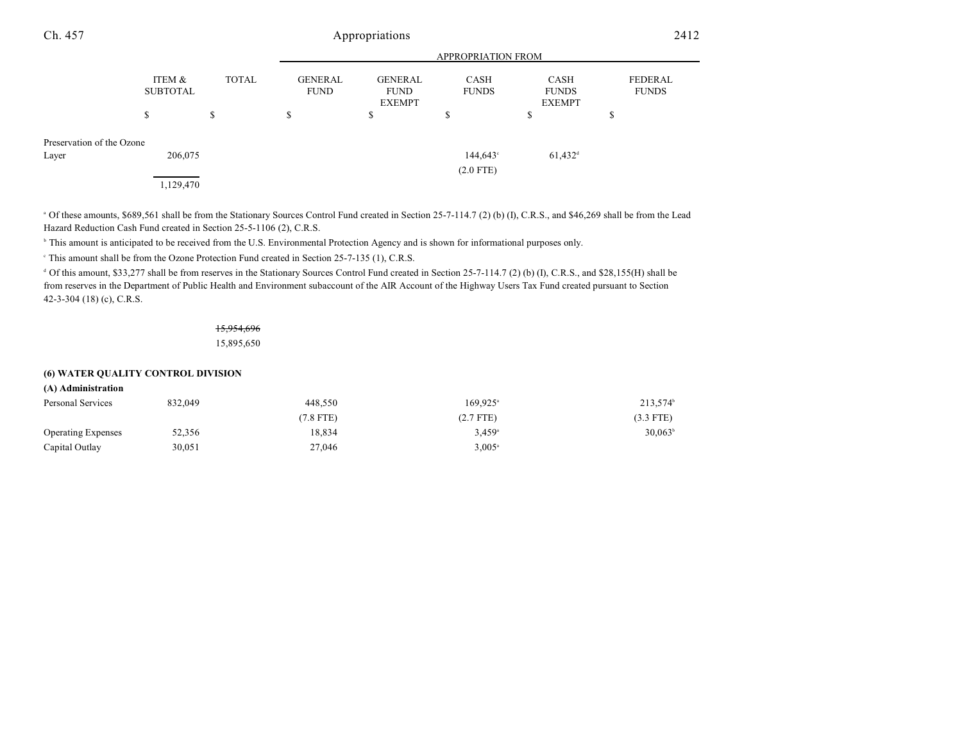| Ch. 457                   |                                 |                    |                              | Appropriations                                |                                   |                                             | 2412                          |
|---------------------------|---------------------------------|--------------------|------------------------------|-----------------------------------------------|-----------------------------------|---------------------------------------------|-------------------------------|
|                           |                                 |                    |                              |                                               | APPROPRIATION FROM                |                                             |                               |
|                           | ITEM &<br><b>SUBTOTAL</b><br>\$ | <b>TOTAL</b><br>\$ | GENERAL<br><b>FUND</b><br>\$ | GENERAL<br><b>FUND</b><br><b>EXEMPT</b><br>\$ | <b>CASH</b><br><b>FUNDS</b><br>\$ | CASH<br><b>FUNDS</b><br><b>EXEMPT</b><br>\$ | FEDERAL<br><b>FUNDS</b><br>\$ |
| Preservation of the Ozone |                                 |                    |                              |                                               |                                   |                                             |                               |
| Layer                     | 206,075                         |                    |                              |                                               | $144,643^{\circ}$<br>$(2.0$ FTE)  | $61,432$ <sup>d</sup>                       |                               |
|                           | 1,129,470                       |                    |                              |                                               |                                   |                                             |                               |

<sup>a</sup> Of these amounts, \$689,561 shall be from the Stationary Sources Control Fund created in Section 25-7-114.7 (2) (b) (I), C.R.S., and \$46,269 shall be from the Lead Hazard Reduction Cash Fund created in Section 25-5-1106 (2), C.R.S.

<sup>b</sup> This amount is anticipated to be received from the U.S. Environmental Protection Agency and is shown for informational purposes only.

This amount shall be from the Ozone Protection Fund created in Section  $25-7-135$  (1), C.R.S.

<sup>d</sup> Of this amount, \$33,277 shall be from reserves in the Stationary Sources Control Fund created in Section 25-7-114.7 (2) (b) (I), C.R.S., and \$28,155(H) shall be from reserves in the Department of Public Health and Environment subaccount of the AIR Account of the Highway Users Tax Fund created pursuant to Section 42-3-304 (18) (c), C.R.S.

# 15,954,696

15,895,650

### **(6) WATER QUALITY CONTROL DIVISION**

# **(A) Administration** Personal Services 832,049 213,574 a b 448,550 213,574 a b 448,550 213,574

|                           |        | $(7.8$ FTE) | $(2.7$ FTE)          | $(3.3$ FTE)      |
|---------------------------|--------|-------------|----------------------|------------------|
| <b>Operating Expenses</b> | 52,356 | 18.834      | $3.459$ <sup>a</sup> | $30.063^{\circ}$ |
| Capital Outlay            | 30.051 | 27,046      | $3.005^{\circ}$      |                  |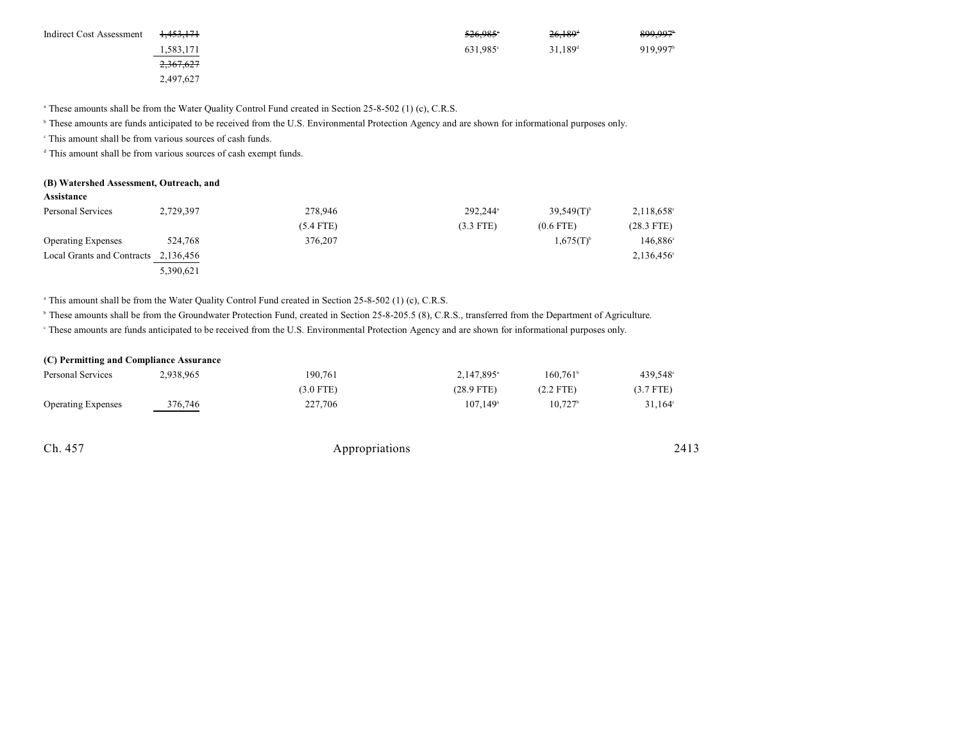| Indirect Cost Assessment | <del>1.453.171</del> | 526.985              | $26,189$ <sup>t</sup> | 899,997              |
|--------------------------|----------------------|----------------------|-----------------------|----------------------|
|                          | 1,583,171            | 631,985 <sup>°</sup> | $31.189$ <sup>d</sup> | 919,997 <sup>b</sup> |
|                          | 2,367,627            |                      |                       |                      |
|                          | 2,497,627            |                      |                       |                      |

<sup>a</sup> These amounts shall be from the Water Quality Control Fund created in Section 25-8-502 (1) (c), C.R.S.

<sup>b</sup> These amounts are funds anticipated to be received from the U.S. Environmental Protection Agency and are shown for informational purposes only.

 $\cdot$  This amount shall be from various sources of cash funds.

 $d$  This amount shall be from various sources of cash exempt funds.

#### **(B) Watershed Assessment, Outreach, and**

| Personal Services          | 2,729,397 | 278,946     | 292.244 <sup>a</sup> | $39.549(T)^{6}$ | $2,118,658^{\circ}$  |
|----------------------------|-----------|-------------|----------------------|-----------------|----------------------|
|                            |           | $(5.4$ FTE) | $(3.3$ FTE)          | $(0.6$ FTE)     | $(28.3$ FTE)         |
| <b>Operating Expenses</b>  | 524,768   | 376,207     |                      | $1,675(T)^{b}$  | 146,886 <sup>c</sup> |
| Local Grants and Contracts | 2,136,456 |             |                      |                 | 2,136,456°           |
|                            | 5,390,621 |             |                      |                 |                      |

<sup>a</sup> This amount shall be from the Water Quality Control Fund created in Section 25-8-502 (1) (c), C.R.S.

<sup>b</sup> These amounts shall be from the Groundwater Protection Fund, created in Section 25-8-205.5 (8), C.R.S., transferred from the Department of Agriculture.

These amounts are funds anticipated to be received from the U.S. Environmental Protection Agency and are shown for informational purposes only. <sup>c</sup>

#### **(C) Permitting and Compliance Assurance**

| Personal Services         | 2,938,965 | 190.761   | 2.147.895 <sup>a</sup> | $160.761^{\circ}$     | 439,548°         |
|---------------------------|-----------|-----------|------------------------|-----------------------|------------------|
|                           |           | (3.0 FTE) | $(28.9$ FTE)           | $(2.2$ FTE)           | $(3.7$ FTE)      |
| <b>Operating Expenses</b> | 376,746   | 227,706   | $107.149^{\circ}$      | $10.727$ <sup>b</sup> | $31.164^{\circ}$ |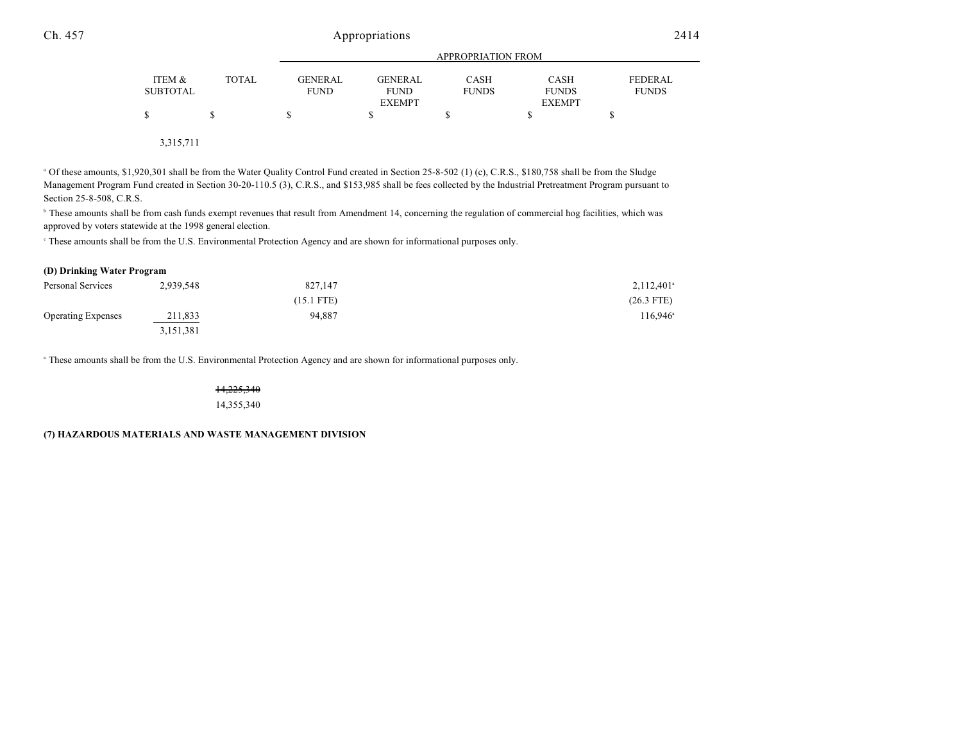|          |              | APPROPRIATION FROM |                |              |               |              |
|----------|--------------|--------------------|----------------|--------------|---------------|--------------|
| ITEM &   | <b>TOTAL</b> | GENERAL            | <b>GENERAL</b> | <b>CASH</b>  | <b>CASH</b>   | FEDERAL      |
| SUBTOTAL |              | <b>FUND</b>        | <b>FUND</b>    | <b>FUNDS</b> | <b>FUNDS</b>  | <b>FUNDS</b> |
|          |              |                    | <b>EXEMPT</b>  |              | <b>EXEMPT</b> |              |
|          |              |                    |                |              |               |              |
|          |              |                    |                |              |               |              |

3,315,711

<sup>a</sup> Of these amounts, \$1,920,301 shall be from the Water Quality Control Fund created in Section 25-8-502 (1) (c), C.R.S., \$180,758 shall be from the Sludge Management Program Fund created in Section 30-20-110.5 (3), C.R.S., and \$153,985 shall be fees collected by the Industrial Pretreatment Program pursuant to Section 25-8-508, C.R.S.

<sup>b</sup> These amounts shall be from cash funds exempt revenues that result from Amendment 14, concerning the regulation of commercial hog facilities, which was approved by voters statewide at the 1998 general election.

These amounts shall be from the U.S. Environmental Protection Agency and are shown for informational purposes only. <sup>c</sup>

#### **(D) Drinking Water Program**

| Personal Services         | 2,939,548 | 827,147      | $2,112,401$ <sup>a</sup> |
|---------------------------|-----------|--------------|--------------------------|
|                           |           | $(15.1$ FTE) | $(26.3$ FTE)             |
| <b>Operating Expenses</b> | 211,833   | 94.887       | 116,946 <sup>a</sup>     |
|                           | 3,151,381 |              |                          |

<sup>a</sup> These amounts shall be from the U.S. Environmental Protection Agency and are shown for informational purposes only.

14,225,340 14,355,340

**(7) HAZARDOUS MATERIALS AND WASTE MANAGEMENT DIVISION**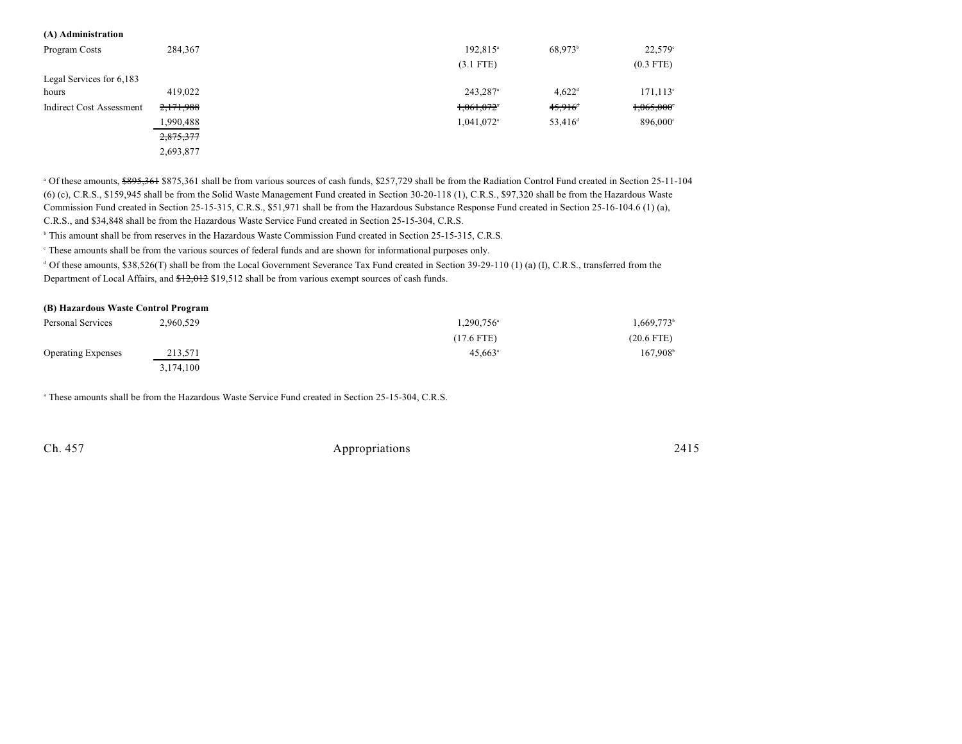| (A) Administration              |           |                          |                       |                      |
|---------------------------------|-----------|--------------------------|-----------------------|----------------------|
| Program Costs                   | 284,367   | 192,815 <sup>a</sup>     | 68,973 <sup>b</sup>   | 22,579°              |
|                                 |           | $(3.1$ FTE)              |                       | $(0.3$ FTE)          |
| Legal Services for 6,183        |           |                          |                       |                      |
| hours                           | 419,022   | 243,287 <sup>a</sup>     | $4,622^{\rm d}$       | $171, 113$ °         |
| <b>Indirect Cost Assessment</b> | 2,171,988 | $1,061,072$ <sup>*</sup> | $45,916$ <sup>+</sup> | 1,065,000            |
|                                 | 1,990,488 | 1,041,072 <sup>a</sup>   | 53,416 <sup>d</sup>   | 896,000 <sup>c</sup> |
|                                 | 2,875,377 |                          |                       |                      |
|                                 | 2,693,877 |                          |                       |                      |

<sup>a</sup> Of these amounts, \$895,361 \$875,361 shall be from various sources of cash funds, \$257,729 shall be from the Radiation Control Fund created in Section 25-11-104 (6) (c), C.R.S., \$159,945 shall be from the Solid Waste Management Fund created in Section 30-20-118 (1), C.R.S., \$97,320 shall be from the Hazardous Waste Commission Fund created in Section 25-15-315, C.R.S., \$51,971 shall be from the Hazardous Substance Response Fund created in Section 25-16-104.6 (1) (a), C.R.S., and \$34,848 shall be from the Hazardous Waste Service Fund created in Section 25-15-304, C.R.S.

<sup>b</sup> This amount shall be from reserves in the Hazardous Waste Commission Fund created in Section 25-15-315, C.R.S.

These amounts shall be from the various sources of federal funds and are shown for informational purposes only. <sup>c</sup>

 $d$  Of these amounts, \$38,526(T) shall be from the Local Government Severance Tax Fund created in Section 39-29-110 (1) (a) (I), C.R.S., transferred from the Department of Local Affairs, and  $\frac{12,012}{12,012}$  \$19,512 shall be from various exempt sources of cash funds.

#### **(B) Hazardous Waste Control Program**

| Personal Services         | 2,960,529 | $1,290,756^{\circ}$ | 1,669,773 <sup>b</sup> |
|---------------------------|-----------|---------------------|------------------------|
|                           |           | (17.6 FTE)          | $(20.6$ FTE)           |
| <b>Operating Expenses</b> | 213,571   | $45,663^{\circ}$    | $167,908^{\circ}$      |
|                           | 3,174,100 |                     |                        |

<sup>a</sup> These amounts shall be from the Hazardous Waste Service Fund created in Section 25-15-304, C.R.S.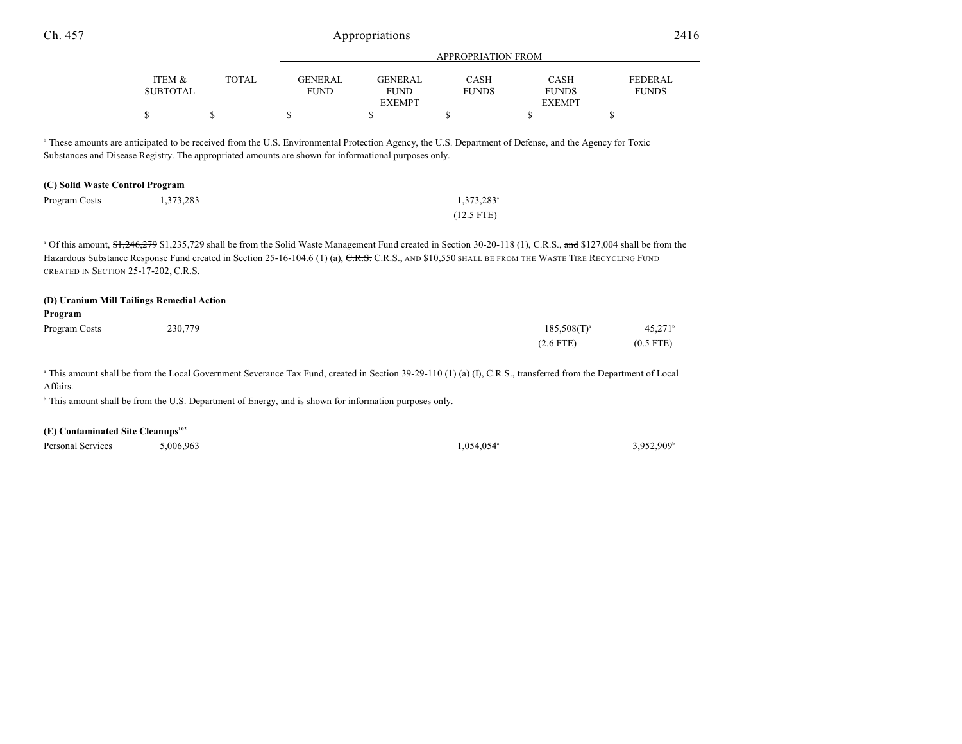| Ch. 457                                       |                                           |              | Appropriations                                                                                                    |                                                |                             | 2416                                                                                                                                                                                                                                                                                                                               |                                |
|-----------------------------------------------|-------------------------------------------|--------------|-------------------------------------------------------------------------------------------------------------------|------------------------------------------------|-----------------------------|------------------------------------------------------------------------------------------------------------------------------------------------------------------------------------------------------------------------------------------------------------------------------------------------------------------------------------|--------------------------------|
|                                               |                                           |              |                                                                                                                   |                                                | <b>APPROPRIATION FROM</b>   |                                                                                                                                                                                                                                                                                                                                    |                                |
|                                               | ITEM &<br><b>SUBTOTAL</b>                 | <b>TOTAL</b> | <b>GENERAL</b><br><b>FUND</b>                                                                                     | <b>GENERAL</b><br><b>FUND</b><br><b>EXEMPT</b> | <b>CASH</b><br><b>FUNDS</b> | CASH<br><b>FUNDS</b><br><b>EXEMPT</b>                                                                                                                                                                                                                                                                                              | <b>FEDERAL</b><br><b>FUNDS</b> |
|                                               | \$                                        | \$           | \$                                                                                                                | \$                                             | \$                          | $\mathbf S$                                                                                                                                                                                                                                                                                                                        | \$                             |
|                                               |                                           |              | Substances and Disease Registry. The appropriated amounts are shown for informational purposes only.              |                                                |                             | <sup>b</sup> These amounts are anticipated to be received from the U.S. Environmental Protection Agency, the U.S. Department of Defense, and the Agency for Toxic                                                                                                                                                                  |                                |
| (C) Solid Waste Control Program               |                                           |              |                                                                                                                   |                                                |                             |                                                                                                                                                                                                                                                                                                                                    |                                |
| Program Costs                                 | 1,373,283                                 |              |                                                                                                                   |                                                | 1,373,283 <sup>a</sup>      |                                                                                                                                                                                                                                                                                                                                    |                                |
|                                               |                                           |              |                                                                                                                   |                                                | $(12.5$ FTE)                |                                                                                                                                                                                                                                                                                                                                    |                                |
|                                               | CREATED IN SECTION 25-17-202, C.R.S.      |              |                                                                                                                   |                                                |                             | <sup>a</sup> Of this amount, \$1,246,279 \$1,235,729 shall be from the Solid Waste Management Fund created in Section 30-20-118 (1), C.R.S., and \$127,004 shall be from the<br>Hazardous Substance Response Fund created in Section 25-16-104.6 (1) (a), C.R.S., C.R.S., AND \$10,550 SHALL BE FROM THE WASTE TIRE RECYCLING FUND |                                |
| Program                                       | (D) Uranium Mill Tailings Remedial Action |              |                                                                                                                   |                                                |                             |                                                                                                                                                                                                                                                                                                                                    |                                |
| Program Costs                                 | 230,779                                   |              |                                                                                                                   |                                                |                             | $185,508(T)^{a}$                                                                                                                                                                                                                                                                                                                   | $45,271^b$                     |
|                                               |                                           |              |                                                                                                                   |                                                |                             | $(2.6$ FTE)                                                                                                                                                                                                                                                                                                                        | $(0.5$ FTE)                    |
| Affairs.                                      |                                           |              |                                                                                                                   |                                                |                             | <sup>a</sup> This amount shall be from the Local Government Severance Tax Fund, created in Section 39-29-110 (1) (a) (I), C.R.S., transferred from the Department of Local                                                                                                                                                         |                                |
|                                               |                                           |              | <sup>b</sup> This amount shall be from the U.S. Department of Energy, and is shown for information purposes only. |                                                |                             |                                                                                                                                                                                                                                                                                                                                    |                                |
| (E) Contaminated Site Cleanups <sup>102</sup> |                                           |              |                                                                                                                   |                                                |                             |                                                                                                                                                                                                                                                                                                                                    |                                |

Personal Services  $\frac{5,006,963}{5,006,963}$   $\frac{5,006,963}{5,006,963}$   $\frac{1,054,054}{5,006,963}$   $\frac{3,952,909}{5,006,963}$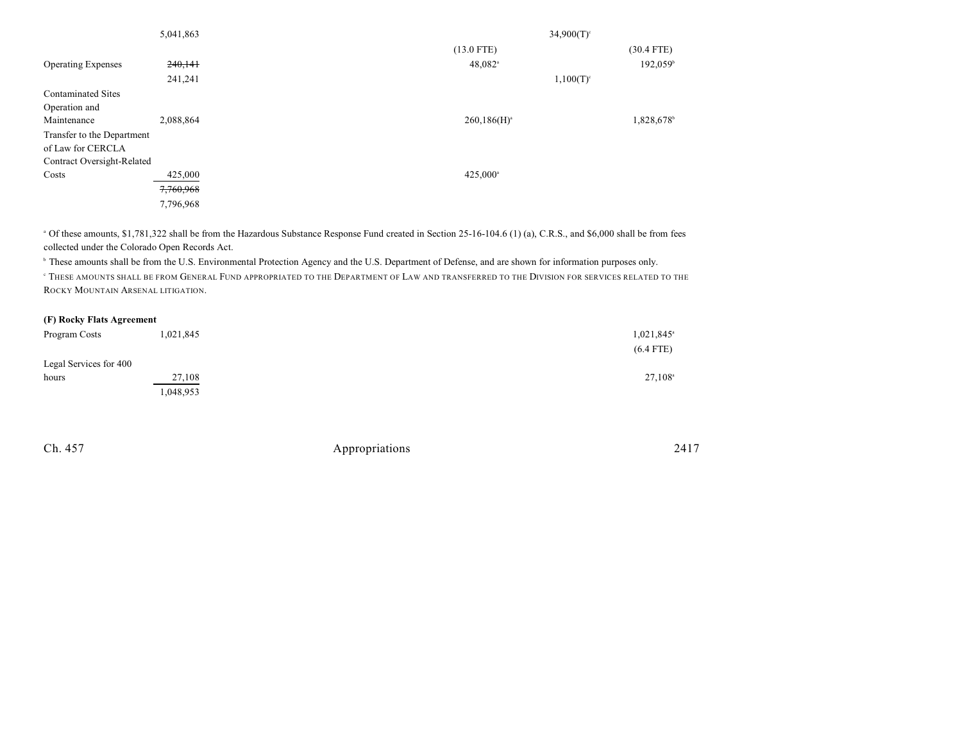| 5,041,863                  |           | $34,900(T)$ <sup>c</sup> |                      |  |  |
|----------------------------|-----------|--------------------------|----------------------|--|--|
|                            |           | $(13.0$ FTE)             | $(30.4$ FTE)         |  |  |
| <b>Operating Expenses</b>  | 240,141   | $48,082$ <sup>a</sup>    | 192,059 <sup>b</sup> |  |  |
|                            | 241,241   | $1,100(T)^c$             |                      |  |  |
| <b>Contaminated Sites</b>  |           |                          |                      |  |  |
| Operation and              |           |                          |                      |  |  |
| Maintenance                | 2,088,864 | $260,186(H)^a$           | 1,828,678            |  |  |
| Transfer to the Department |           |                          |                      |  |  |
| of Law for CERCLA          |           |                          |                      |  |  |
| Contract Oversight-Related |           |                          |                      |  |  |
| Costs                      | 425,000   | $425,000^{\circ}$        |                      |  |  |
|                            | 7,760,968 |                          |                      |  |  |
|                            | 7,796,968 |                          |                      |  |  |

<sup>a</sup> Of these amounts, \$1,781,322 shall be from the Hazardous Substance Response Fund created in Section 25-16-104.6 (1) (a), C.R.S., and \$6,000 shall be from fees collected under the Colorado Open Records Act.

<sup>b</sup> These amounts shall be from the U.S. Environmental Protection Agency and the U.S. Department of Defense, and are shown for information purposes only.

 THESE AMOUNTS SHALL BE FROM GENERAL FUND APPROPRIATED TO THE DEPARTMENT OF LAW AND TRANSFERRED TO THE DIVISION FOR SERVICES RELATED TO THE <sup>c</sup> ROCKY MOUNTAIN ARSENAL LITIGATION.

#### **(F) Rocky Flats Agreement**

| Program Costs          | 1,021,845 | 1,021,845 <sup>a</sup> |
|------------------------|-----------|------------------------|
|                        |           | $(6.4$ FTE)            |
| Legal Services for 400 |           |                        |
| hours                  | 27,108    | $27,108^{\circ}$       |
|                        | 1,048,953 |                        |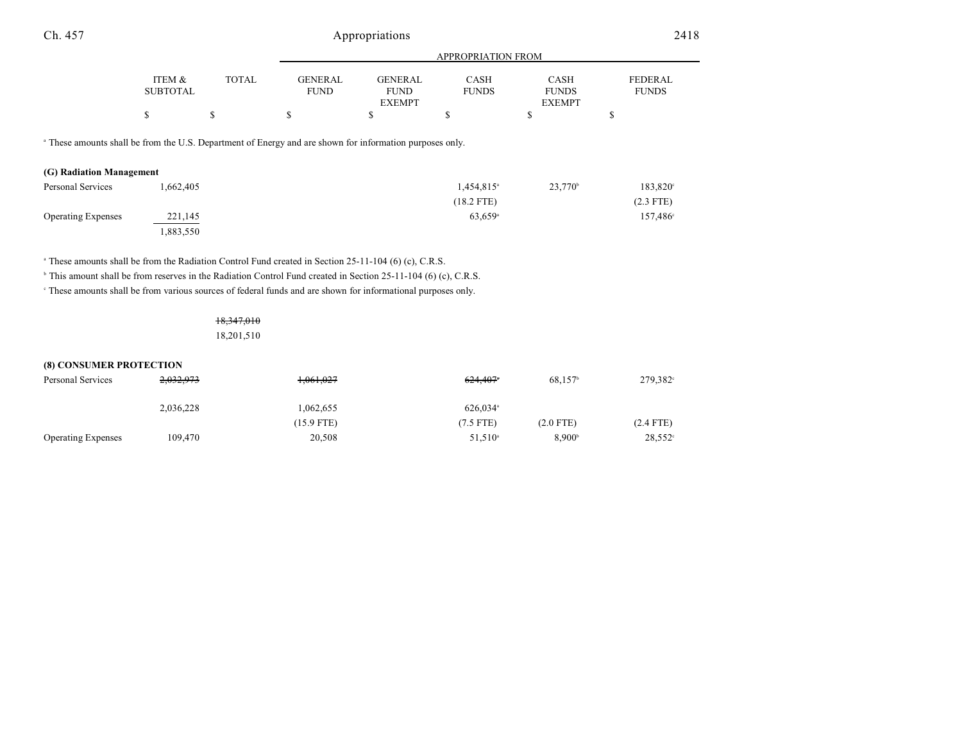| Ch. 457                                                                                                                                         |                           |              |                               | Appropriations                                 |                             |                                              | 2418                           |
|-------------------------------------------------------------------------------------------------------------------------------------------------|---------------------------|--------------|-------------------------------|------------------------------------------------|-----------------------------|----------------------------------------------|--------------------------------|
|                                                                                                                                                 |                           |              |                               |                                                | <b>APPROPRIATION FROM</b>   |                                              |                                |
|                                                                                                                                                 | ITEM &<br><b>SUBTOTAL</b> | <b>TOTAL</b> | <b>GENERAL</b><br><b>FUND</b> | <b>GENERAL</b><br><b>FUND</b><br><b>EXEMPT</b> | <b>CASH</b><br><b>FUNDS</b> | <b>CASH</b><br><b>FUNDS</b><br><b>EXEMPT</b> | <b>FEDERAL</b><br><b>FUNDS</b> |
|                                                                                                                                                 | \$                        | \$           | \$                            | \$                                             | \$                          | \$                                           | \$                             |
| <sup>a</sup> These amounts shall be from the U.S. Department of Energy and are shown for information purposes only.<br>(G) Radiation Management |                           |              |                               |                                                |                             |                                              |                                |
| <b>Personal Services</b>                                                                                                                        | 1,662,405                 |              |                               |                                                | 1,454,815 <sup>a</sup>      | $23,770^{\circ}$                             | 183,820°                       |
|                                                                                                                                                 |                           |              |                               |                                                | $(18.2$ FTE)                |                                              | $(2.3$ FTE)                    |
| <b>Operating Expenses</b>                                                                                                                       | 221,145<br>1,883,550      |              |                               |                                                | 63,659 <sup>a</sup>         |                                              | $157,486^{\circ}$              |

<sup>a</sup> These amounts shall be from the Radiation Control Fund created in Section 25-11-104 (6) (c), C.R.S.

<sup>b</sup> This amount shall be from reserves in the Radiation Control Fund created in Section 25-11-104 (6) (c), C.R.S.

These amounts shall be from various sources of federal funds and are shown for informational purposes only. <sup>c</sup>

# 18,347,010 18,201,510

# **(8) CONSUMER PROTECTION**

| Personal Services         | 2,032,973 | 1,061,027    | 624.407                | 68.157 <sup>b</sup> | 279,382 <sup>c</sup> |
|---------------------------|-----------|--------------|------------------------|---------------------|----------------------|
|                           | 2,036,228 | 1,062,655    | $626.034$ <sup>a</sup> |                     |                      |
|                           |           | $(15.9$ FTE) | $(7.5$ FTE)            | $(2.0$ FTE)         | $(2.4$ FTE)          |
| <b>Operating Expenses</b> | 109.470   | 20,508       | $51,510^{\circ}$       | 8.900 <sup>b</sup>  | $28,552^{\circ}$     |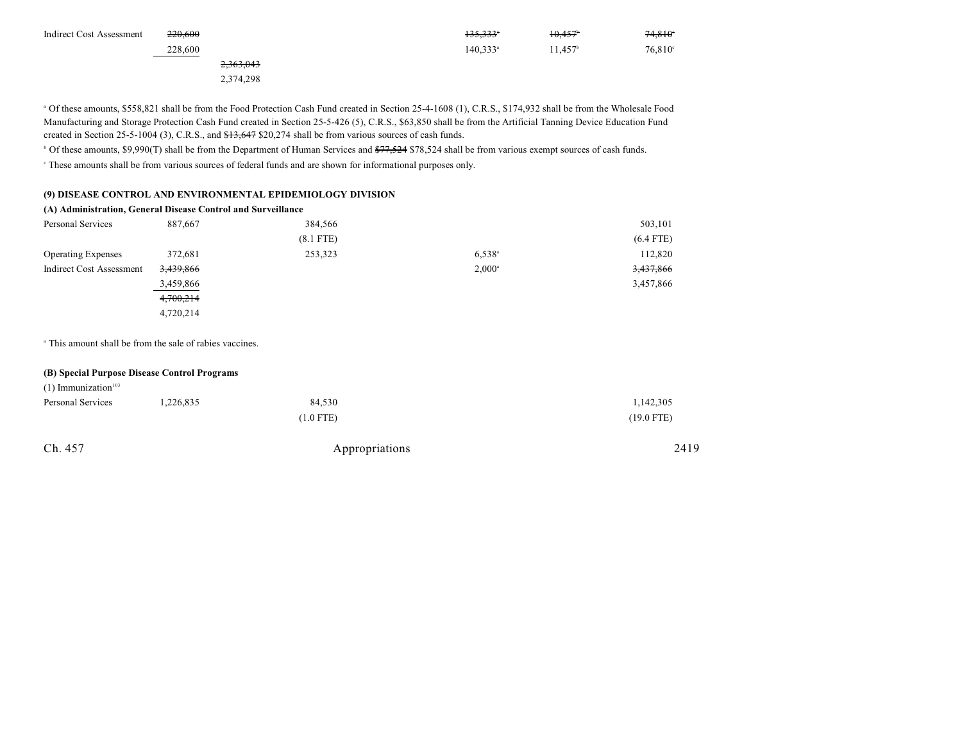| <b>Indirect Cost Assessment</b> | 220.600   | 135,333 <sup>*</sup> | 10,457    | 74,810°          |
|---------------------------------|-----------|----------------------|-----------|------------------|
|                                 | 228,600   | $140.333^{\circ}$    | $1.457^h$ | $76,810^{\circ}$ |
|                                 | 2,363,043 |                      |           |                  |
|                                 | 2.374.298 |                      |           |                  |

<sup>a</sup> Of these amounts, \$558,821 shall be from the Food Protection Cash Fund created in Section 25-4-1608 (1), C.R.S., \$174,932 shall be from the Wholesale Food Manufacturing and Storage Protection Cash Fund created in Section 25-5-426 (5), C.R.S., \$63,850 shall be from the Artificial Tanning Device Education Fund created in Section 25-5-1004 (3), C.R.S., and  $\frac{413,647}{20,274}$  shall be from various sources of cash funds.

<sup>b</sup> Of these amounts, \$9,990(T) shall be from the Department of Human Services and <del>\$77,524</del> \$78,524 shall be from various exempt sources of cash funds.

These amounts shall be from various sources of federal funds and are shown for informational purposes only. <sup>c</sup>

#### **(9) DISEASE CONTROL AND ENVIRONMENTAL EPIDEMIOLOGY DIVISION**

#### **(A) Administration, General Disease Control and Surveillance**

| Personal Services         | 887,667   | 384,566     |                 | 503,101     |
|---------------------------|-----------|-------------|-----------------|-------------|
|                           |           | $(8.1$ FTE) |                 | $(6.4$ FTE) |
| <b>Operating Expenses</b> | 372,681   | 253,323     | $6.538^{a}$     | 112,820     |
| Indirect Cost Assessment  | 3,439,866 |             | $2,000^{\circ}$ | 3,437,866   |
|                           | 3,459,866 |             |                 | 3,457,866   |
|                           | 4,700,214 |             |                 |             |
|                           | 4,720,214 |             |                 |             |

<sup>a</sup> This amount shall be from the sale of rabies vaccines.

#### **(B) Special Purpose Disease Control Programs**

| $(1)$ Immunization <sup>103</sup> |           |                |              |
|-----------------------------------|-----------|----------------|--------------|
| Personal Services                 | 1,226,835 | 84,530         | 1,142,305    |
|                                   |           | $(1.0$ FTE)    | $(19.0$ FTE) |
| Ch. 457                           |           | Appropriations | 2419         |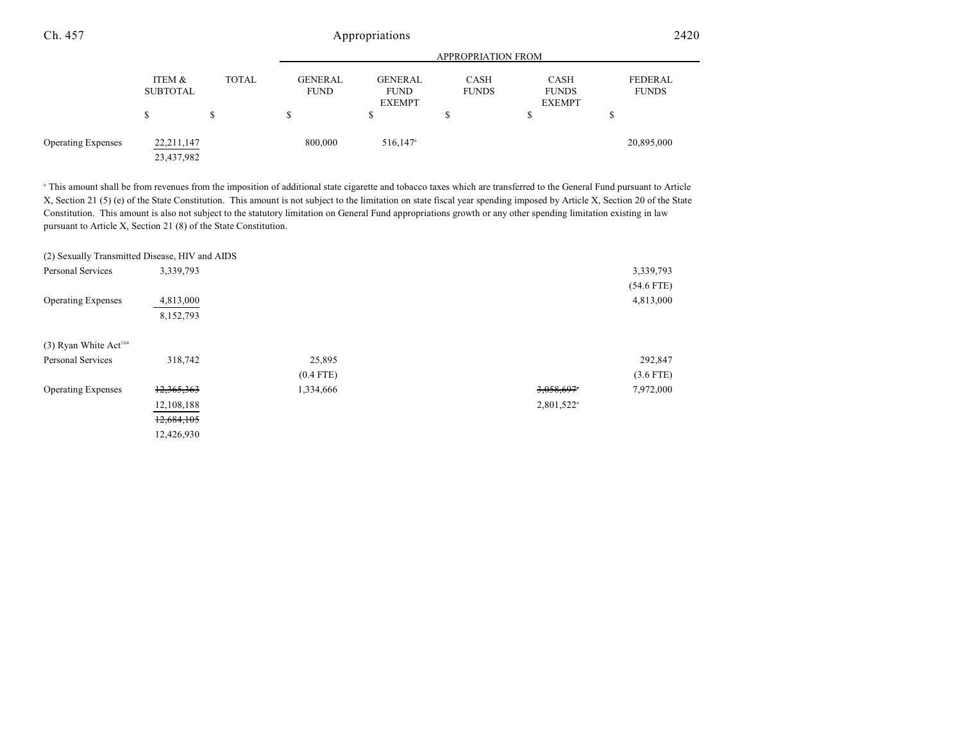| Ch. 457                   | Appropriations            |       |                               |                                                |                             | 2420                                         |                         |
|---------------------------|---------------------------|-------|-------------------------------|------------------------------------------------|-----------------------------|----------------------------------------------|-------------------------|
|                           |                           |       |                               | <b>APPROPRIATION FROM</b>                      |                             |                                              |                         |
|                           | ITEM &<br><b>SUBTOTAL</b> | TOTAL | <b>GENERAL</b><br><b>FUND</b> | <b>GENERAL</b><br><b>FUND</b><br><b>EXEMPT</b> | <b>CASH</b><br><b>FUNDS</b> | <b>CASH</b><br><b>FUNDS</b><br><b>EXEMPT</b> | FEDERAL<br><b>FUNDS</b> |
|                           | S                         | \$    | S                             | \$                                             | ۰D                          | S                                            | S                       |
| <b>Operating Expenses</b> | 22,211,147<br>23,437,982  |       | 800,000                       | $516,147$ <sup>a</sup>                         |                             |                                              | 20,895,000              |

<sup>a</sup> This amount shall be from revenues from the imposition of additional state cigarette and tobacco taxes which are transferred to the General Fund pursuant to Article X, Section 21 (5) (e) of the State Constitution. This amount is not subject to the limitation on state fiscal year spending imposed by Article X, Section 20 of the State Constitution. This amount is also not subject to the statutory limitation on General Fund appropriations growth or any other spending limitation existing in law pursuant to Article X, Section 21 (8) of the State Constitution.

|                                     | (2) Sexually Transmitted Disease, HIV and AIDS |             |                        |              |
|-------------------------------------|------------------------------------------------|-------------|------------------------|--------------|
| <b>Personal Services</b>            | 3,339,793                                      |             |                        | 3,339,793    |
|                                     |                                                |             |                        | $(54.6$ FTE) |
| <b>Operating Expenses</b>           | 4,813,000                                      |             |                        | 4,813,000    |
|                                     | 8,152,793                                      |             |                        |              |
|                                     |                                                |             |                        |              |
| $(3)$ Ryan White Act <sup>104</sup> |                                                |             |                        |              |
| <b>Personal Services</b>            | 318,742                                        | 25,895      |                        | 292,847      |
|                                     |                                                | $(0.4$ FTE) |                        | $(3.6$ FTE)  |
| <b>Operating Expenses</b>           | 12,365,363                                     | 1,334,666   | 3,058,697              | 7,972,000    |
|                                     | 12,108,188                                     |             | 2,801,522 <sup>a</sup> |              |
|                                     | 12,684,105                                     |             |                        |              |
|                                     | 12,426,930                                     |             |                        |              |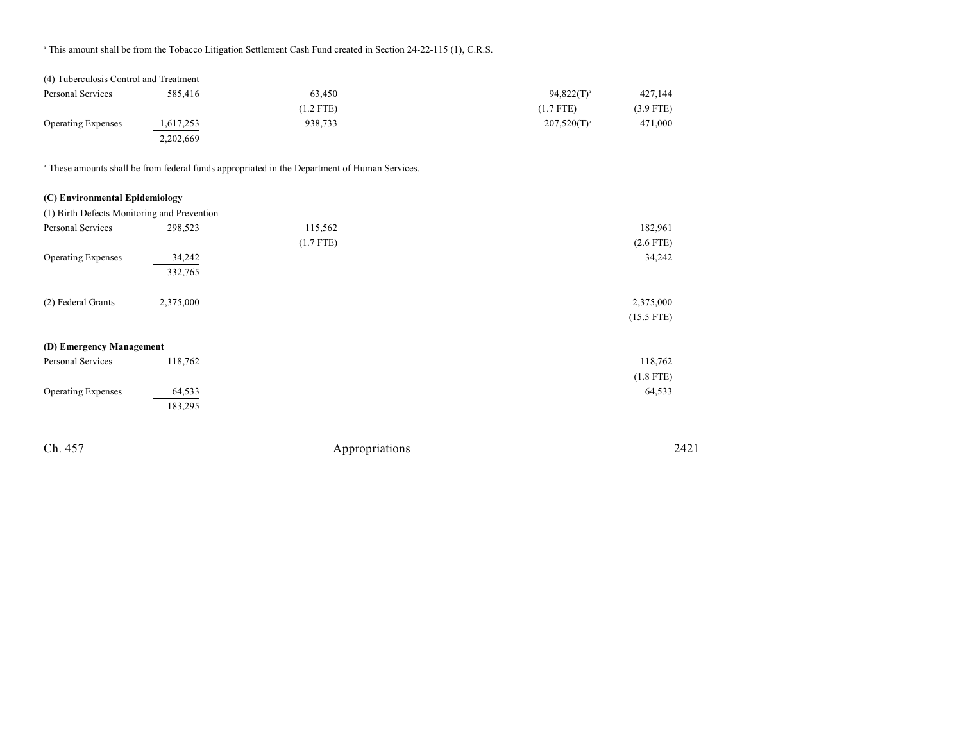<sup>a</sup> This amount shall be from the Tobacco Litigation Settlement Cash Fund created in Section 24-22-115 (1), C.R.S.

| (4) Tuberculosis Control and Treatment |           |             |                  |             |
|----------------------------------------|-----------|-------------|------------------|-------------|
| Personal Services                      | 585,416   | 63.450      | $94,822(T)^{a}$  | 427.144     |
|                                        |           | $(1.2$ FTE) | $(1.7$ FTE)      | $(3.9$ FTE) |
| <b>Operating Expenses</b>              | 1,617,253 | 938.733     | $207,520(T)^{a}$ | 471,000     |
|                                        | 2,202,669 |             |                  |             |

These amounts shall be from federal funds appropriated in the Department of Human Services. <sup>a</sup>

#### **(C) Environmental Epidemiology**

| (1) Birth Defects Monitoring and Prevention |           |             |              |
|---------------------------------------------|-----------|-------------|--------------|
| Personal Services                           | 298,523   | 115,562     | 182,961      |
|                                             |           | $(1.7$ FTE) | $(2.6$ FTE)  |
| <b>Operating Expenses</b>                   | 34,242    |             | 34,242       |
|                                             | 332,765   |             |              |
|                                             |           |             |              |
| (2) Federal Grants                          | 2,375,000 |             | 2,375,000    |
|                                             |           |             | $(15.5$ FTE) |
|                                             |           |             |              |
| (D) Emergency Management                    |           |             |              |
| Personal Services                           | 118,762   |             | 118,762      |
|                                             |           |             | $(1.8$ FTE)  |
| <b>Operating Expenses</b>                   | 64,533    |             | 64,533       |
|                                             | 183,295   |             |              |
|                                             |           |             |              |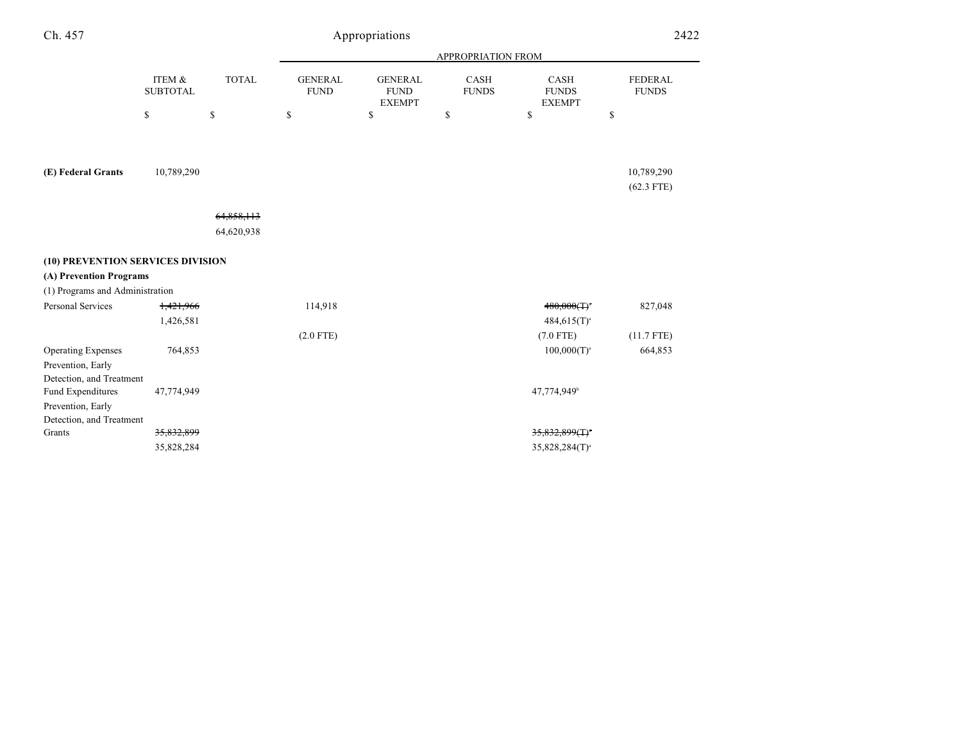| Ch. 457                                                                    |                           |              |                               | Appropriations                                 |                             |                                       | 2422                           |
|----------------------------------------------------------------------------|---------------------------|--------------|-------------------------------|------------------------------------------------|-----------------------------|---------------------------------------|--------------------------------|
|                                                                            |                           |              |                               |                                                | APPROPRIATION FROM          |                                       |                                |
|                                                                            | ITEM &<br><b>SUBTOTAL</b> | <b>TOTAL</b> | <b>GENERAL</b><br><b>FUND</b> | <b>GENERAL</b><br><b>FUND</b><br><b>EXEMPT</b> | <b>CASH</b><br><b>FUNDS</b> | CASH<br><b>FUNDS</b><br><b>EXEMPT</b> | <b>FEDERAL</b><br><b>FUNDS</b> |
|                                                                            | \$                        | $\mathbb{S}$ | \$                            | \$                                             | \$                          | \$                                    | \$                             |
| (E) Federal Grants                                                         | 10,789,290                |              |                               |                                                |                             |                                       | 10,789,290                     |
|                                                                            |                           |              |                               |                                                |                             |                                       | $(62.3$ FTE)                   |
|                                                                            |                           |              |                               |                                                |                             |                                       |                                |
|                                                                            |                           | 64,858,113   |                               |                                                |                             |                                       |                                |
|                                                                            |                           | 64,620,938   |                               |                                                |                             |                                       |                                |
| (10) PREVENTION SERVICES DIVISION                                          |                           |              |                               |                                                |                             |                                       |                                |
| (A) Prevention Programs                                                    |                           |              |                               |                                                |                             |                                       |                                |
| (1) Programs and Administration                                            |                           |              |                               |                                                |                             |                                       |                                |
| <b>Personal Services</b>                                                   | 1,421,966                 |              | 114,918                       |                                                |                             | $480,000(T)$ *                        | 827,048                        |
|                                                                            | 1,426,581                 |              |                               |                                                |                             | $484,615(T)^{a}$                      |                                |
|                                                                            |                           |              | $(2.0$ FTE)                   |                                                |                             | $(7.0$ FTE)                           | $(11.7$ FTE)                   |
| <b>Operating Expenses</b><br>Prevention, Early<br>Detection, and Treatment | 764,853                   |              |                               |                                                |                             | $100,000(T)^{a}$                      | 664,853                        |
| Fund Expenditures                                                          | 47,774,949                |              |                               |                                                |                             | 47,774,949 <sup>b</sup>               |                                |
| Prevention, Early<br>Detection, and Treatment                              |                           |              |                               |                                                |                             |                                       |                                |
| Grants                                                                     | 35,832,899                |              |                               |                                                |                             | $35,832,899(T)^*$                     |                                |
|                                                                            | 35,828,284                |              |                               |                                                |                             | $35,828,284(T)^{a}$                   |                                |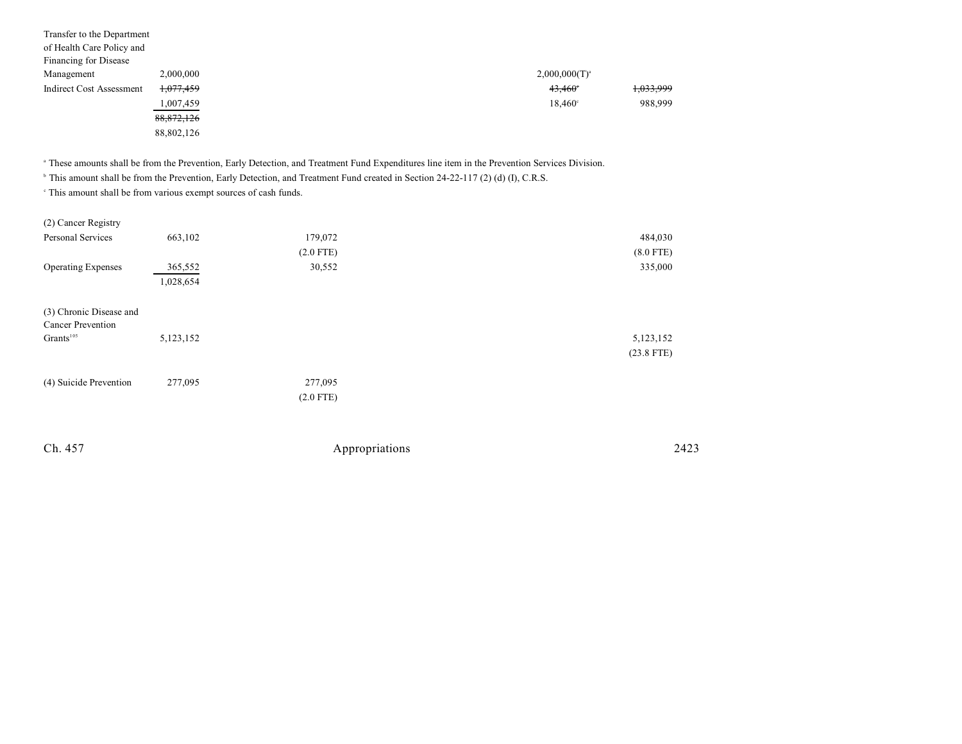| Transfer to the Department<br>of Health Care Policy and<br>Financing for Disease |              |  |                  |           |
|----------------------------------------------------------------------------------|--------------|--|------------------|-----------|
| Management                                                                       | 2,000,000    |  | $2,000,000(T)^a$ |           |
| <b>Indirect Cost Assessment</b>                                                  | 1,077,459    |  | $43,460^\circ$   | 1,033,999 |
|                                                                                  | 1,007,459    |  | $18,460^{\circ}$ | 988,999   |
|                                                                                  | 88, 872, 126 |  |                  |           |
|                                                                                  | 88,802,126   |  |                  |           |

These amounts shall be from the Prevention, Early Detection, and Treatment Fund Expenditures line item in the Prevention Services Division. <sup>a</sup>

<sup>b</sup> This amount shall be from the Prevention, Early Detection, and Treatment Fund created in Section 24-22-117 (2) (d) (I), C.R.S.

 $\,^{\circ}$  This amount shall be from various exempt sources of cash funds.

| (2) Cancer Registry       |           |                |              |
|---------------------------|-----------|----------------|--------------|
| Personal Services         | 663,102   | 179,072        | 484,030      |
|                           |           | $(2.0$ FTE)    | $(8.0$ FTE)  |
| <b>Operating Expenses</b> | 365,552   | 30,552         | 335,000      |
|                           | 1,028,654 |                |              |
|                           |           |                |              |
| (3) Chronic Disease and   |           |                |              |
| Cancer Prevention         |           |                |              |
| Grants <sup>105</sup>     | 5,123,152 |                | 5,123,152    |
|                           |           |                | $(23.8$ FTE) |
|                           |           |                |              |
| (4) Suicide Prevention    | 277,095   | 277,095        |              |
|                           |           | $(2.0$ FTE)    |              |
|                           |           |                |              |
|                           |           |                |              |
| Ch. 457                   |           | Appropriations | 2423         |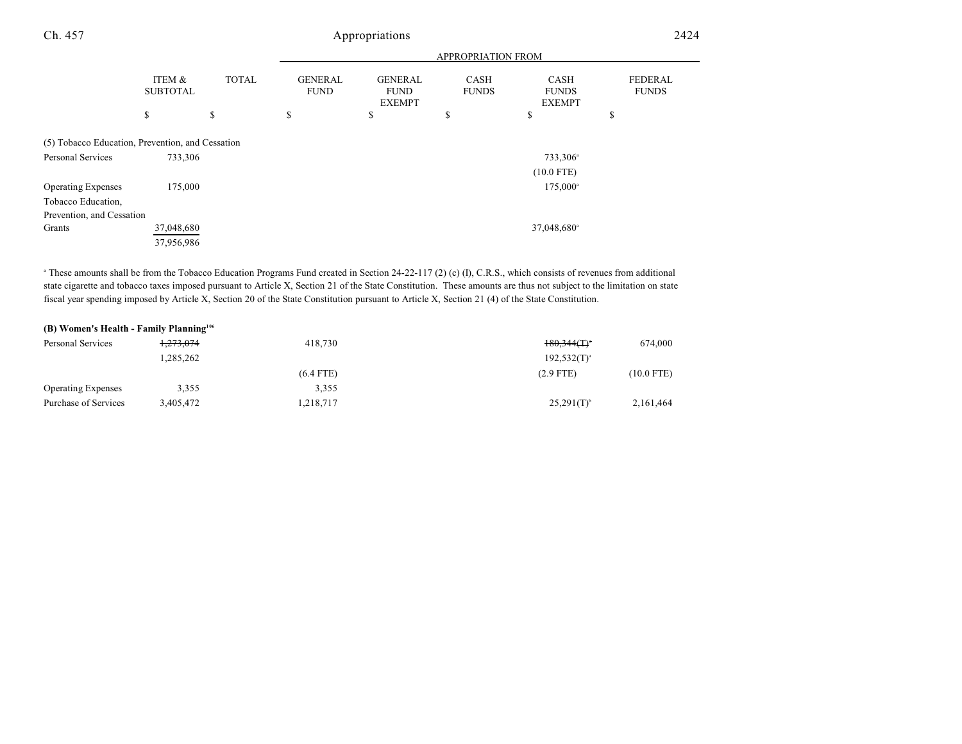| Ch. 457                                          |                           | Appropriations |                               |                                                |                             |                                       | 2424                    |  |
|--------------------------------------------------|---------------------------|----------------|-------------------------------|------------------------------------------------|-----------------------------|---------------------------------------|-------------------------|--|
|                                                  |                           |                |                               |                                                | APPROPRIATION FROM          |                                       |                         |  |
|                                                  | ITEM &<br><b>SUBTOTAL</b> | <b>TOTAL</b>   | <b>GENERAL</b><br><b>FUND</b> | <b>GENERAL</b><br><b>FUND</b><br><b>EXEMPT</b> | <b>CASH</b><br><b>FUNDS</b> | CASH<br><b>FUNDS</b><br><b>EXEMPT</b> | FEDERAL<br><b>FUNDS</b> |  |
|                                                  | \$                        | \$             | \$                            | \$                                             | \$                          | \$                                    | \$                      |  |
| (5) Tobacco Education, Prevention, and Cessation |                           |                |                               |                                                |                             |                                       |                         |  |
| Personal Services                                | 733,306                   |                |                               |                                                |                             | 733,306 <sup>a</sup>                  |                         |  |
|                                                  |                           |                |                               |                                                |                             | $(10.0$ FTE)                          |                         |  |
| <b>Operating Expenses</b>                        | 175,000                   |                |                               |                                                |                             | 175,000 <sup>a</sup>                  |                         |  |
| Tobacco Education,                               |                           |                |                               |                                                |                             |                                       |                         |  |
| Prevention, and Cessation                        |                           |                |                               |                                                |                             |                                       |                         |  |
| Grants                                           | 37,048,680                |                |                               |                                                |                             | 37,048,680 <sup>a</sup>               |                         |  |
|                                                  | 37,956,986                |                |                               |                                                |                             |                                       |                         |  |

<sup>a</sup> These amounts shall be from the Tobacco Education Programs Fund created in Section 24-22-117 (2) (c) (I), C.R.S., which consists of revenues from additional state cigarette and tobacco taxes imposed pursuant to Article X, Section 21 of the State Constitution. These amounts are thus not subject to the limitation on state fiscal year spending imposed by Article X, Section 20 of the State Constitution pursuant to Article X, Section 21 (4) of the State Constitution.

| (B) Women's Health - Family Planning <sup>106</sup> |                      |             |                           |              |
|-----------------------------------------------------|----------------------|-------------|---------------------------|--------------|
| Personal Services                                   | <del>1.273.074</del> | 418.730     | $180.344(T)$ <sup>*</sup> | 674,000      |
|                                                     | 1.285.262            |             | $192,532(T)^{a}$          |              |
|                                                     |                      | $(6.4$ FTE) | $(2.9$ FTE)               | $(10.0$ FTE) |
| <b>Operating Expenses</b>                           | 3,355                | 3,355       |                           |              |
| Purchase of Services                                | 3,405,472            | 1,218,717   | $25,291(T)^{6}$           | 2,161,464    |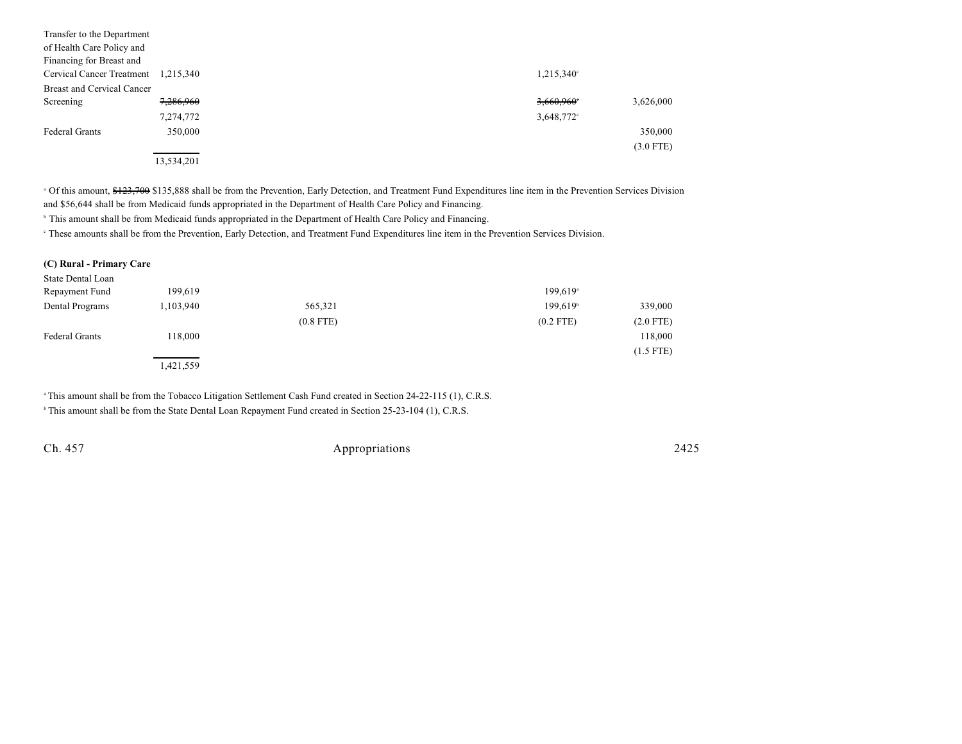| Transfer to the Department<br>of Health Care Policy and<br>Financing for Breast and |            |  |                          |             |
|-------------------------------------------------------------------------------------|------------|--|--------------------------|-------------|
| Cervical Cancer Treatment                                                           | 1,215,340  |  | 1,215,340°               |             |
| Breast and Cervical Cancer                                                          |            |  |                          |             |
| Screening                                                                           | 7,286,960  |  | $3,660,960$ <sup>*</sup> | 3,626,000   |
|                                                                                     | 7,274,772  |  | 3,648,772°               |             |
| <b>Federal Grants</b>                                                               | 350,000    |  |                          | 350,000     |
|                                                                                     |            |  |                          | $(3.0$ FTE) |
|                                                                                     | 13,534,201 |  |                          |             |

<sup>a</sup> Of this amount, \$123,700 \$135,888 shall be from the Prevention, Early Detection, and Treatment Fund Expenditures line item in the Prevention Services Division and \$56,644 shall be from Medicaid funds appropriated in the Department of Health Care Policy and Financing.

<sup>b</sup> This amount shall be from Medicaid funds appropriated in the Department of Health Care Policy and Financing.

<sup>e</sup> These amounts shall be from the Prevention, Early Detection, and Treatment Fund Expenditures line item in the Prevention Services Division.

| (C) Rural - Primary Care |           |             |                        |             |
|--------------------------|-----------|-------------|------------------------|-------------|
| State Dental Loan        |           |             |                        |             |
| Repayment Fund           | 199,619   |             | $199,619$ <sup>a</sup> |             |
| Dental Programs          | 1,103,940 | 565,321     | 199.619 <sup>b</sup>   | 339,000     |
|                          |           | $(0.8$ FTE) | $(0.2$ FTE)            | $(2.0$ FTE) |
| <b>Federal Grants</b>    | 118,000   |             |                        | 118,000     |
|                          |           |             |                        | $(1.5$ FTE) |
|                          | 1,421,559 |             |                        |             |

This amount shall be from the Tobacco Litigation Settlement Cash Fund created in Section 24-22-115 (1), C.R.S. <sup>h</sup> This amount shall be from the State Dental Loan Repayment Fund created in Section 25-23-104 (1), C.R.S.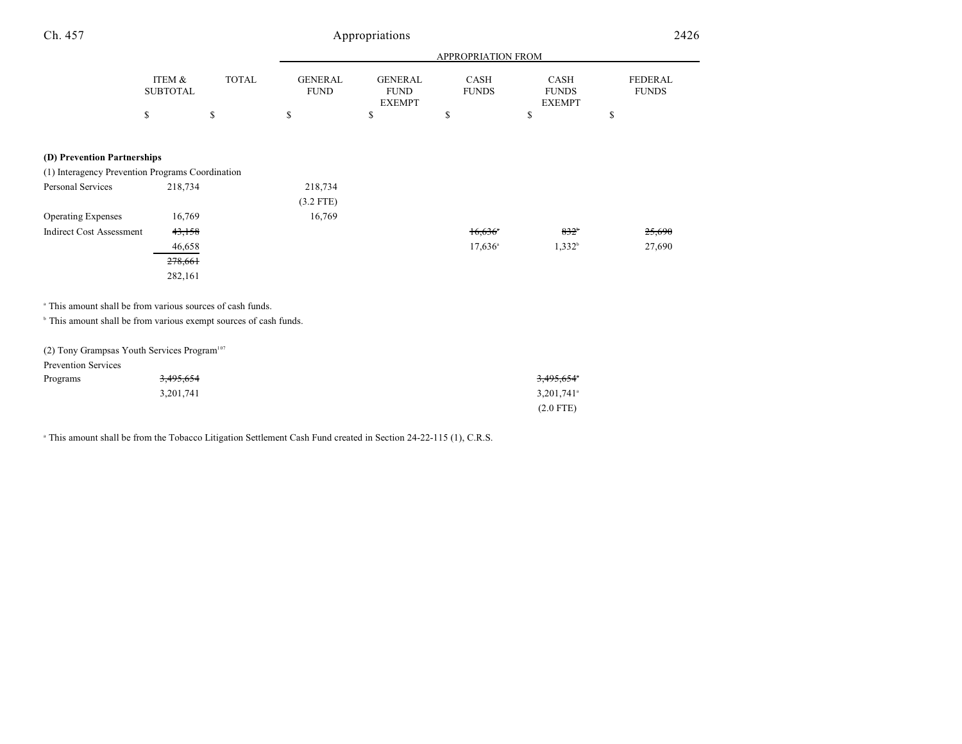| Ch. 457                                                                      | Appropriations            |              |                               |                                                |                       | 2426                                         |                         |
|------------------------------------------------------------------------------|---------------------------|--------------|-------------------------------|------------------------------------------------|-----------------------|----------------------------------------------|-------------------------|
|                                                                              |                           |              |                               |                                                | APPROPRIATION FROM    |                                              |                         |
|                                                                              | ITEM &<br><b>SUBTOTAL</b> | <b>TOTAL</b> | <b>GENERAL</b><br><b>FUND</b> | <b>GENERAL</b><br><b>FUND</b><br><b>EXEMPT</b> | CASH<br><b>FUNDS</b>  | <b>CASH</b><br><b>FUNDS</b><br><b>EXEMPT</b> | FEDERAL<br><b>FUNDS</b> |
|                                                                              | \$                        | \$           | \$                            | \$                                             | \$                    | \$                                           | \$                      |
| (D) Prevention Partnerships                                                  |                           |              |                               |                                                |                       |                                              |                         |
| (1) Interagency Prevention Programs Coordination                             |                           |              |                               |                                                |                       |                                              |                         |
| Personal Services                                                            | 218,734                   |              | 218,734                       |                                                |                       |                                              |                         |
|                                                                              |                           |              | $(3.2$ FTE)                   |                                                |                       |                                              |                         |
| <b>Operating Expenses</b>                                                    | 16,769                    |              | 16,769                        |                                                |                       |                                              |                         |
| <b>Indirect Cost Assessment</b>                                              | 43,158                    |              |                               |                                                | $16,636$ <sup>*</sup> | $832^{\circ}$                                | 25,690                  |
|                                                                              | 46,658                    |              |                               |                                                | $17,636$ <sup>a</sup> | $1,332^b$                                    | 27,690                  |
|                                                                              | 278,661                   |              |                               |                                                |                       |                                              |                         |
|                                                                              | 282,161                   |              |                               |                                                |                       |                                              |                         |
| <sup>a</sup> This amount shall be from various sources of cash funds.        |                           |              |                               |                                                |                       |                                              |                         |
| <sup>b</sup> This amount shall be from various exempt sources of cash funds. |                           |              |                               |                                                |                       |                                              |                         |
| (2) Tony Grampsas Youth Services Program <sup>107</sup>                      |                           |              |                               |                                                |                       |                                              |                         |

| Prevention Services |                      |                          |
|---------------------|----------------------|--------------------------|
| Programs            | <del>3,495,654</del> | 3,495,654 <sup>*</sup>   |
|                     | 3,201,741            | $3,201,741$ <sup>a</sup> |
|                     |                      | $(2.0$ FTE)              |

<sup>a</sup> This amount shall be from the Tobacco Litigation Settlement Cash Fund created in Section 24-22-115 (1), C.R.S.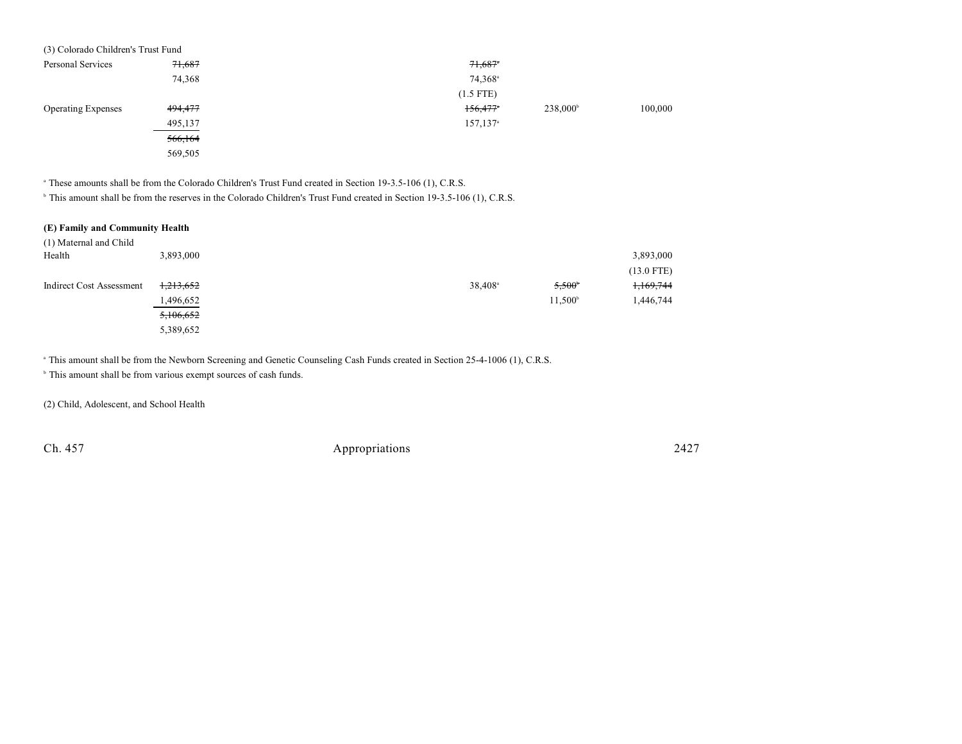| (3) Colorado Children's Trust Fund |         |                       |                      |         |
|------------------------------------|---------|-----------------------|----------------------|---------|
| Personal Services                  | 71,687  | $71,687$ <sup>*</sup> |                      |         |
|                                    | 74,368  | 74,368 <sup>a</sup>   |                      |         |
|                                    |         | $(1.5$ FTE)           |                      |         |
| <b>Operating Expenses</b>          | 494,477 | 156,477               | 238,000 <sup>b</sup> | 100,000 |
|                                    | 495,137 | 157,137 <sup>a</sup>  |                      |         |
|                                    | 566,164 |                       |                      |         |
|                                    | 569,505 |                       |                      |         |

<sup>a</sup> These amounts shall be from the Colorado Children's Trust Fund created in Section 19-3.5-106 (1), C.R.S.

<sup>h</sup> This amount shall be from the reserves in the Colorado Children's Trust Fund created in Section 19-3.5-106 (1), C.R.S.

| (E) Family and Community Health |           |                       |                  |              |
|---------------------------------|-----------|-----------------------|------------------|--------------|
| (1) Maternal and Child          |           |                       |                  |              |
| Health                          | 3,893,000 |                       |                  | 3,893,000    |
|                                 |           |                       |                  | $(13.0$ FTE) |
| Indirect Cost Assessment        | 1,213,652 | $38,408$ <sup>a</sup> | $5,500^{\circ}$  | 1,169,744    |
|                                 | 1,496,652 |                       | $11.500^{\circ}$ | 1,446,744    |
|                                 | 5,106,652 |                       |                  |              |
|                                 | 5,389,652 |                       |                  |              |

<sup>a</sup> This amount shall be from the Newborn Screening and Genetic Counseling Cash Funds created in Section 25-4-1006 (1), C.R.S.

 $\,^{\circ}$  This amount shall be from various exempt sources of cash funds.

(2) Child, Adolescent, and School Health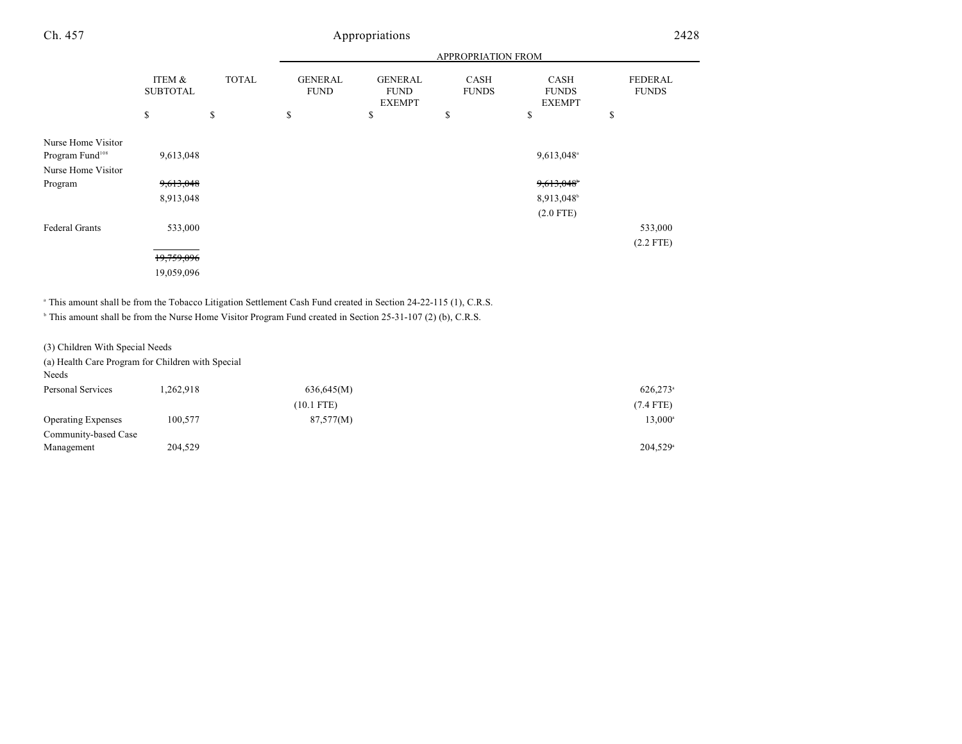| Ch. 457                                           | Appropriations            |              |                               |                                                |                             |                                              | 2428                           |  |
|---------------------------------------------------|---------------------------|--------------|-------------------------------|------------------------------------------------|-----------------------------|----------------------------------------------|--------------------------------|--|
|                                                   |                           |              |                               |                                                | APPROPRIATION FROM          |                                              |                                |  |
|                                                   | ITEM &<br><b>SUBTOTAL</b> | <b>TOTAL</b> | <b>GENERAL</b><br><b>FUND</b> | <b>GENERAL</b><br><b>FUND</b><br><b>EXEMPT</b> | <b>CASH</b><br><b>FUNDS</b> | <b>CASH</b><br><b>FUNDS</b><br><b>EXEMPT</b> | <b>FEDERAL</b><br><b>FUNDS</b> |  |
|                                                   | \$                        | \$           | \$                            | \$                                             | \$                          | \$                                           | \$                             |  |
| Nurse Home Visitor<br>Program Fund <sup>108</sup> | 9,613,048                 |              |                               |                                                |                             | 9,613,048 <sup>a</sup>                       |                                |  |
| Nurse Home Visitor<br>Program                     | 9,613,048<br>8,913,048    |              |                               |                                                |                             | 9,613,048<br>8,913,048                       |                                |  |
| Federal Grants                                    | 533,000                   |              |                               |                                                |                             | $(2.0$ FTE)                                  | 533,000                        |  |
|                                                   |                           |              |                               |                                                |                             |                                              | $(2.2$ FTE)                    |  |

19,759,096

19,059,096

<sup>a</sup> This amount shall be from the Tobacco Litigation Settlement Cash Fund created in Section 24-22-115 (1), C.R.S.

This amount shall be from the Nurse Home Visitor Program Fund created in Section 25-31-107 (2) (b), C.R.S.

(3) Children With Special Needs

(a) Health Care Program for Children with Special

Needs

| Personal Services         | .262.918 | 636,645(M)   | $626,273$ <sup>a</sup> |
|---------------------------|----------|--------------|------------------------|
|                           |          | $(10.1$ FTE) | $(7.4$ FTE)            |
| <b>Operating Expenses</b> | 100,577  | 87,577(M)    | $13,000^{\circ}$       |
| Community-based Case      |          |              |                        |
| Management                | 204,529  |              | $204.529$ <sup>a</sup> |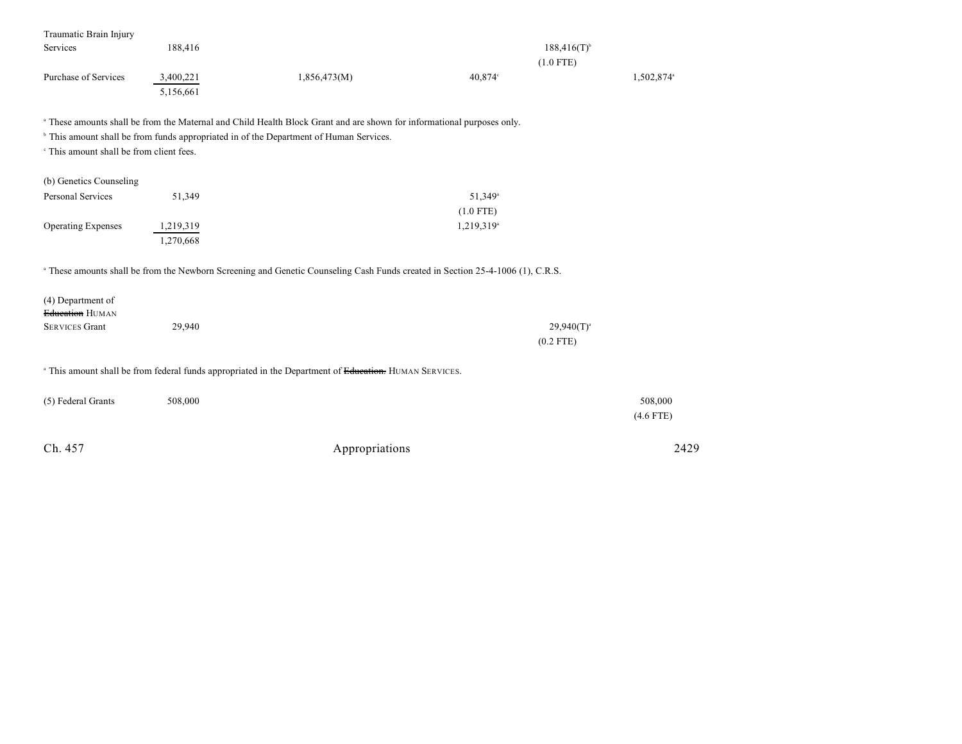| Traumatic Brain Injury                              |           |                                                                                                                                           |                           |                        |
|-----------------------------------------------------|-----------|-------------------------------------------------------------------------------------------------------------------------------------------|---------------------------|------------------------|
| Services                                            | 188,416   |                                                                                                                                           | $188,416(T)$ <sup>b</sup> |                        |
|                                                     |           |                                                                                                                                           | $(1.0$ FTE)               |                        |
| Purchase of Services                                | 3,400,221 | 1,856,473(M)                                                                                                                              | 40,874°                   | 1,502,874 <sup>a</sup> |
|                                                     | 5,156,661 |                                                                                                                                           |                           |                        |
|                                                     |           | a These amounts shall be from the Maternal and Child Health Block Grant and are shown for informational purposes only.                    |                           |                        |
|                                                     |           | <sup>b</sup> This amount shall be from funds appropriated in of the Department of Human Services.                                         |                           |                        |
| <sup>e</sup> This amount shall be from client fees. |           |                                                                                                                                           |                           |                        |
|                                                     |           |                                                                                                                                           |                           |                        |
| (b) Genetics Counseling                             |           |                                                                                                                                           |                           |                        |
| <b>Personal Services</b>                            | 51,349    |                                                                                                                                           | 51,349 <sup>a</sup>       |                        |
|                                                     |           |                                                                                                                                           | $(1.0$ FTE)               |                        |
| <b>Operating Expenses</b>                           | 1,219,319 |                                                                                                                                           | 1,219,319 <sup>a</sup>    |                        |
|                                                     | 1,270,668 |                                                                                                                                           |                           |                        |
|                                                     |           |                                                                                                                                           |                           |                        |
|                                                     |           | <sup>a</sup> These amounts shall be from the Newborn Screening and Genetic Counseling Cash Funds created in Section 25-4-1006 (1), C.R.S. |                           |                        |
|                                                     |           |                                                                                                                                           |                           |                        |
| (4) Department of                                   |           |                                                                                                                                           |                           |                        |
| Education HUMAN                                     |           |                                                                                                                                           |                           |                        |
| <b>SERVICES Grant</b>                               | 29,940    |                                                                                                                                           | $29,940(T)^{a}$           |                        |
|                                                     |           |                                                                                                                                           | $(0.2$ FTE)               |                        |
|                                                     |           |                                                                                                                                           |                           |                        |
|                                                     |           | <sup>a</sup> This amount shall be from federal funds appropriated in the Department of Education. HUMAN SERVICES.                         |                           |                        |
|                                                     |           |                                                                                                                                           |                           |                        |
| (5) Federal Grants                                  | 508,000   |                                                                                                                                           |                           | 508,000                |
|                                                     |           |                                                                                                                                           |                           | $(4.6$ FTE)            |
|                                                     |           |                                                                                                                                           |                           |                        |
| Ch. 457                                             |           | Appropriations                                                                                                                            |                           | 2429                   |
|                                                     |           |                                                                                                                                           |                           |                        |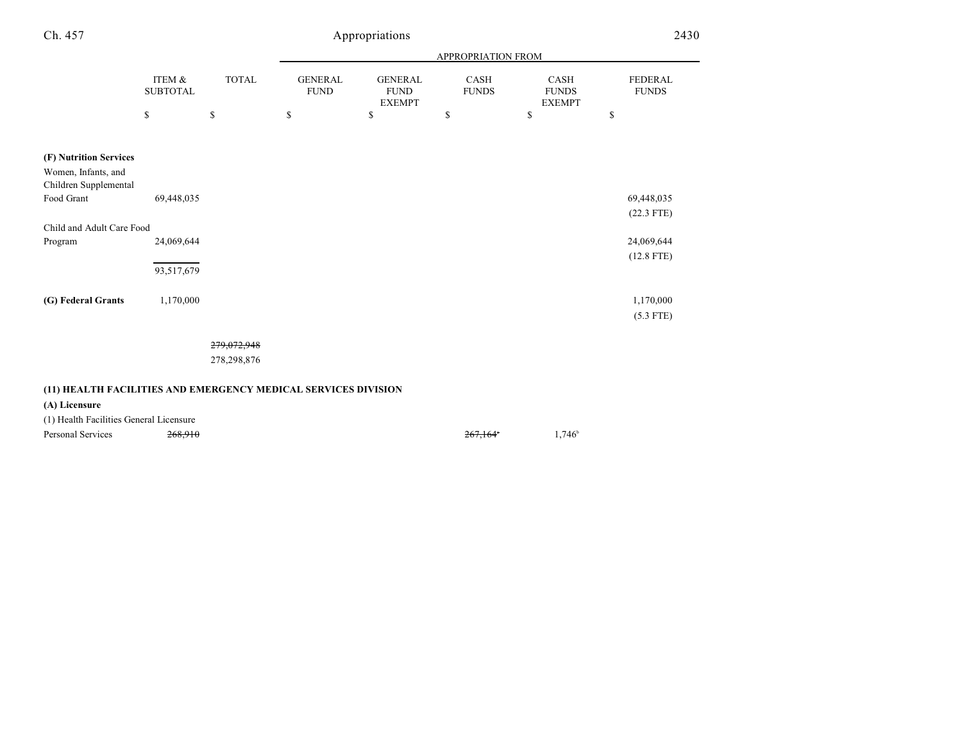| Ch. 457                                                                |                           | Appropriations |                               |                                                |                             |                                              |                                |
|------------------------------------------------------------------------|---------------------------|----------------|-------------------------------|------------------------------------------------|-----------------------------|----------------------------------------------|--------------------------------|
|                                                                        |                           |                | APPROPRIATION FROM            |                                                |                             |                                              |                                |
|                                                                        | ITEM &<br><b>SUBTOTAL</b> | <b>TOTAL</b>   | <b>GENERAL</b><br><b>FUND</b> | <b>GENERAL</b><br><b>FUND</b><br><b>EXEMPT</b> | <b>CASH</b><br><b>FUNDS</b> | <b>CASH</b><br><b>FUNDS</b><br><b>EXEMPT</b> | <b>FEDERAL</b><br><b>FUNDS</b> |
|                                                                        | \$                        | \$             | \$                            | \$                                             | \$                          | \$                                           | \$                             |
| (F) Nutrition Services<br>Women, Infants, and<br>Children Supplemental |                           |                |                               |                                                |                             |                                              |                                |
| Food Grant                                                             | 69,448,035                |                |                               |                                                |                             |                                              | 69,448,035<br>$(22.3$ FTE)     |
| Child and Adult Care Food                                              |                           |                |                               |                                                |                             |                                              |                                |
| Program                                                                | 24,069,644                |                |                               |                                                |                             |                                              | 24,069,644                     |
|                                                                        | 93,517,679                |                |                               |                                                |                             |                                              | $(12.8$ FTE)                   |
| (G) Federal Grants                                                     | 1,170,000                 |                |                               |                                                |                             |                                              | 1,170,000                      |
|                                                                        |                           |                |                               |                                                |                             |                                              | $(5.3$ FTE)                    |

## 279,072,948

278,298,876

# **(11) HEALTH FACILITIES AND EMERGENCY MEDICAL SERVICES DIVISION**

**(A) Licensure**

(1) Health Facilities General Licensure

Personal Services  $\frac{268,910}{267,164}$  1,746  $\frac{267,164}{267,164}$  1,746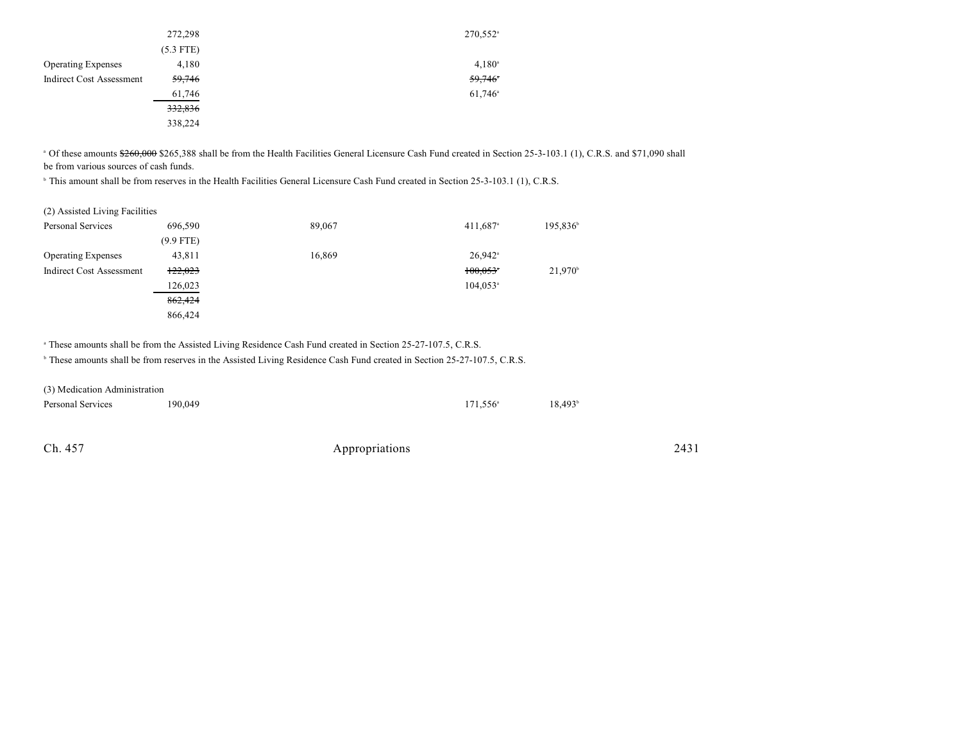|                                 | 272,298     | 270,552 <sup>a</sup>  |
|---------------------------------|-------------|-----------------------|
|                                 | $(5.3$ FTE) |                       |
| <b>Operating Expenses</b>       | 4,180       | $4,180^{\circ}$       |
| <b>Indirect Cost Assessment</b> | 59,746      | 59,746                |
|                                 | 61,746      | $61,746$ <sup>a</sup> |
|                                 | 332,836     |                       |
|                                 | 338,224     |                       |

<sup>a</sup> Of these amounts \$260,000 \$265,388 shall be from the Health Facilities General Licensure Cash Fund created in Section 25-3-103.1 (1), C.R.S. and \$71,090 shall be from various sources of cash funds.

<sup>b</sup> This amount shall be from reserves in the Health Facilities General Licensure Cash Fund created in Section 25-3-103.1 (1), C.R.S.

| (2) Assisted Living Facilities  |             |        |                        |                      |
|---------------------------------|-------------|--------|------------------------|----------------------|
| <b>Personal Services</b>        | 696.590     | 89,067 | $411,687$ <sup>a</sup> | 195,836 <sup>b</sup> |
|                                 | $(9.9$ FTE) |        |                        |                      |
| <b>Operating Expenses</b>       | 43,811      | 16,869 | $26,942$ <sup>a</sup>  |                      |
| <b>Indirect Cost Assessment</b> | 122,023     |        | $100,053$ <sup>*</sup> | $21,970^{\circ}$     |
|                                 | 126,023     |        | $104,053$ <sup>a</sup> |                      |
|                                 | 862,424     |        |                        |                      |
|                                 | 866,424     |        |                        |                      |

<sup>a</sup> These amounts shall be from the Assisted Living Residence Cash Fund created in Section 25-27-107.5, C.R.S.

<sup>b</sup> These amounts shall be from reserves in the Assisted Living Residence Cash Fund created in Section 25-27-107.5, C.R.S.

| (3) Medication Administration |         |                   |                  |
|-------------------------------|---------|-------------------|------------------|
| Personal Services             | 190,049 | $171.556^{\circ}$ | $18.493^{\circ}$ |
|                               |         |                   |                  |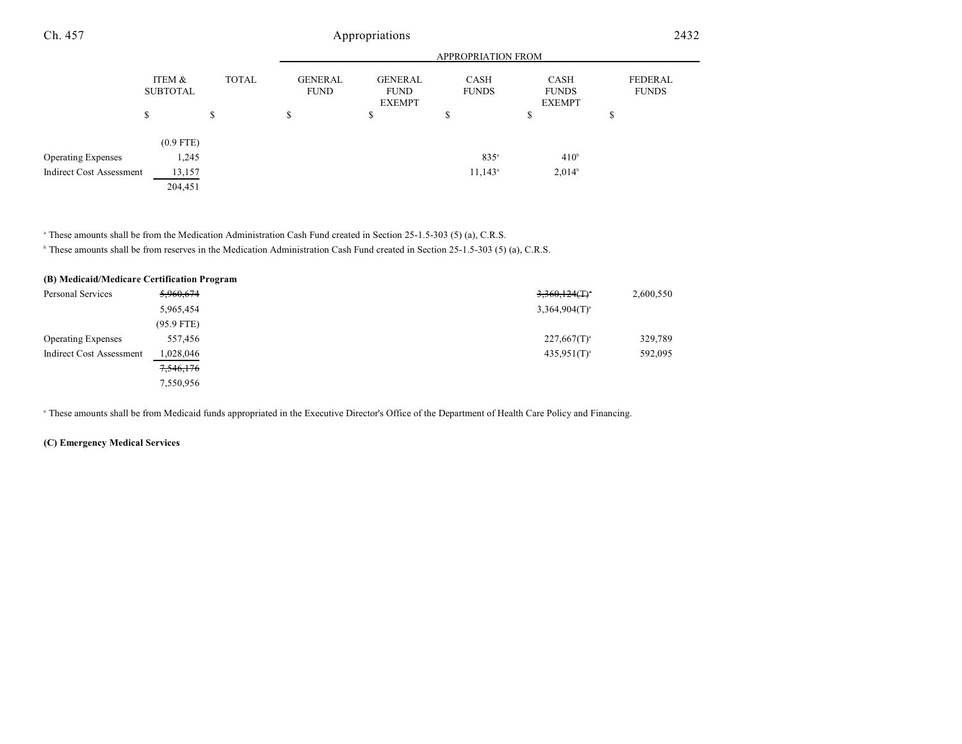# Ch. 457 Appropriations 2432

|                           |                           |               | <b>APPROPRIATION FROM</b>     |                                                |                       |                                              |                         |  |  |
|---------------------------|---------------------------|---------------|-------------------------------|------------------------------------------------|-----------------------|----------------------------------------------|-------------------------|--|--|
|                           | ITEM &<br><b>SUBTOTAL</b> | <b>TOTAL</b>  | <b>GENERAL</b><br><b>FUND</b> | <b>GENERAL</b><br><b>FUND</b><br><b>EXEMPT</b> | CASH<br><b>FUNDS</b>  | <b>CASH</b><br><b>FUNDS</b><br><b>EXEMPT</b> | FEDERAL<br><b>FUNDS</b> |  |  |
|                           | S                         | <sup>\$</sup> | \$                            | Φ<br>J.                                        | \$                    | D                                            | ¢<br>D                  |  |  |
|                           | $(0.9$ FTE)               |               |                               |                                                |                       |                                              |                         |  |  |
| <b>Operating Expenses</b> | 1,245                     |               |                               |                                                | $835^a$               | 410 <sup>b</sup>                             |                         |  |  |
| Indirect Cost Assessment  | 13,157                    |               |                               |                                                | $11,143$ <sup>a</sup> | 2,014 <sup>b</sup>                           |                         |  |  |
|                           | 204,451                   |               |                               |                                                |                       |                                              |                         |  |  |

<sup>a</sup> These amounts shall be from the Medication Administration Cash Fund created in Section 25-1.5-303 (5) (a), C.R.S.

<sup>b</sup> These amounts shall be from reserves in the Medication Administration Cash Fund created in Section 25-1.5-303 (5) (a), C.R.S.

#### **(B) Medicaid/Medicare Certification Program**

| Personal Services         | 5,960,674    | $3,360,124($ T) <sup>a</sup> | 2,600,550 |
|---------------------------|--------------|------------------------------|-----------|
|                           | 5,965,454    | $3,364,904(T)^{3}$           |           |
|                           | $(95.9$ FTE) |                              |           |
| <b>Operating Expenses</b> | 557,456      | $227,667(T)^{a}$             | 329,789   |
| Indirect Cost Assessment  | 1,028,046    | $435,951(T)^{a}$             | 592,095   |
|                           | 7,546,176    |                              |           |
|                           | 7,550,956    |                              |           |

<sup>a</sup> These amounts shall be from Medicaid funds appropriated in the Executive Director's Office of the Department of Health Care Policy and Financing.

## **(C) Emergency Medical Services**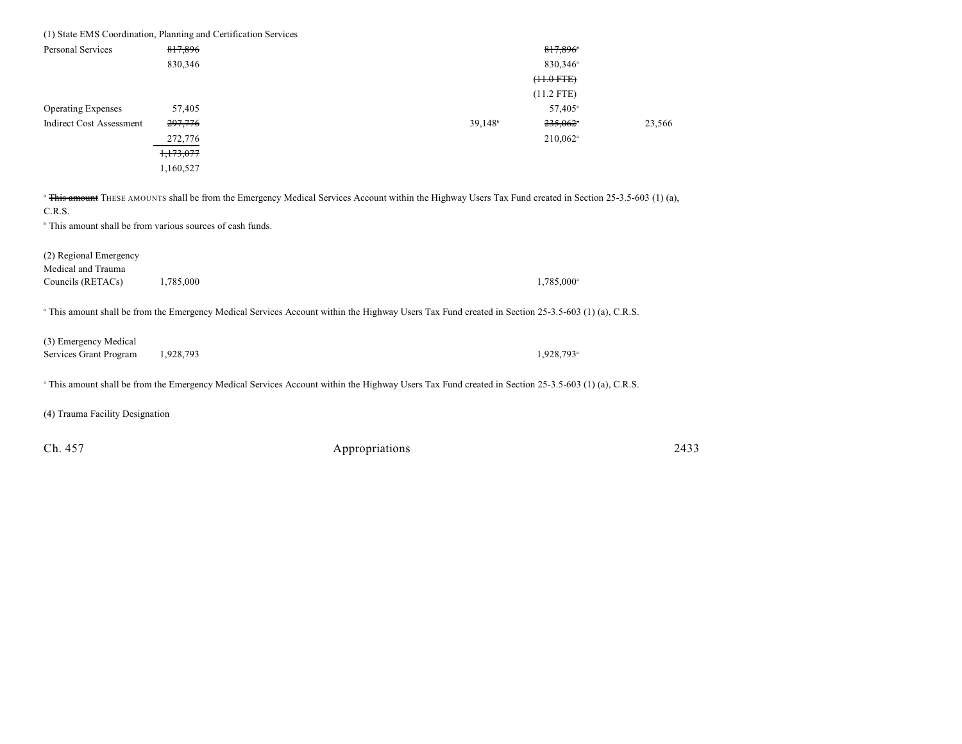| (1) State EMS Coordination, Planning and Certification Services                                                                            |           |                                                                                                                                                               |        |
|--------------------------------------------------------------------------------------------------------------------------------------------|-----------|---------------------------------------------------------------------------------------------------------------------------------------------------------------|--------|
| <b>Personal Services</b>                                                                                                                   | 817,896   | 817,896                                                                                                                                                       |        |
|                                                                                                                                            | 830,346   | 830,346 <sup>a</sup>                                                                                                                                          |        |
|                                                                                                                                            |           | $(11.0$ FTE)                                                                                                                                                  |        |
|                                                                                                                                            |           | $(11.2$ FTE)                                                                                                                                                  |        |
| <b>Operating Expenses</b>                                                                                                                  | 57,405    | 57,405 <sup>a</sup>                                                                                                                                           |        |
| <b>Indirect Cost Assessment</b>                                                                                                            | 297,776   | $39,148^b$<br>$235,062$ <sup>*</sup>                                                                                                                          | 23,566 |
|                                                                                                                                            | 272,776   | $210,062$ <sup>a</sup>                                                                                                                                        |        |
|                                                                                                                                            | 1,173,077 |                                                                                                                                                               |        |
|                                                                                                                                            | 1,160,527 |                                                                                                                                                               |        |
| <sup>b</sup> This amount shall be from various sources of cash funds.<br>(2) Regional Emergency<br>Medical and Trauma<br>Councils (RETACs) | 1,785,000 | 1,785,000 <sup>a</sup>                                                                                                                                        |        |
|                                                                                                                                            |           | <sup>a</sup> This amount shall be from the Emergency Medical Services Account within the Highway Users Tax Fund created in Section 25-3.5-603 (1) (a), C.R.S. |        |
| (3) Emergency Medical<br>Services Grant Program                                                                                            | 1,928,793 | 1,928,793 <sup>a</sup>                                                                                                                                        |        |
|                                                                                                                                            |           | <sup>a</sup> This amount shall be from the Emergency Medical Services Account within the Highway Users Tax Fund created in Section 25-3.5-603 (1) (a), C.R.S. |        |
| (4) Trauma Facility Designation                                                                                                            |           |                                                                                                                                                               |        |
| Ch. 457                                                                                                                                    |           | Appropriations                                                                                                                                                | 2433   |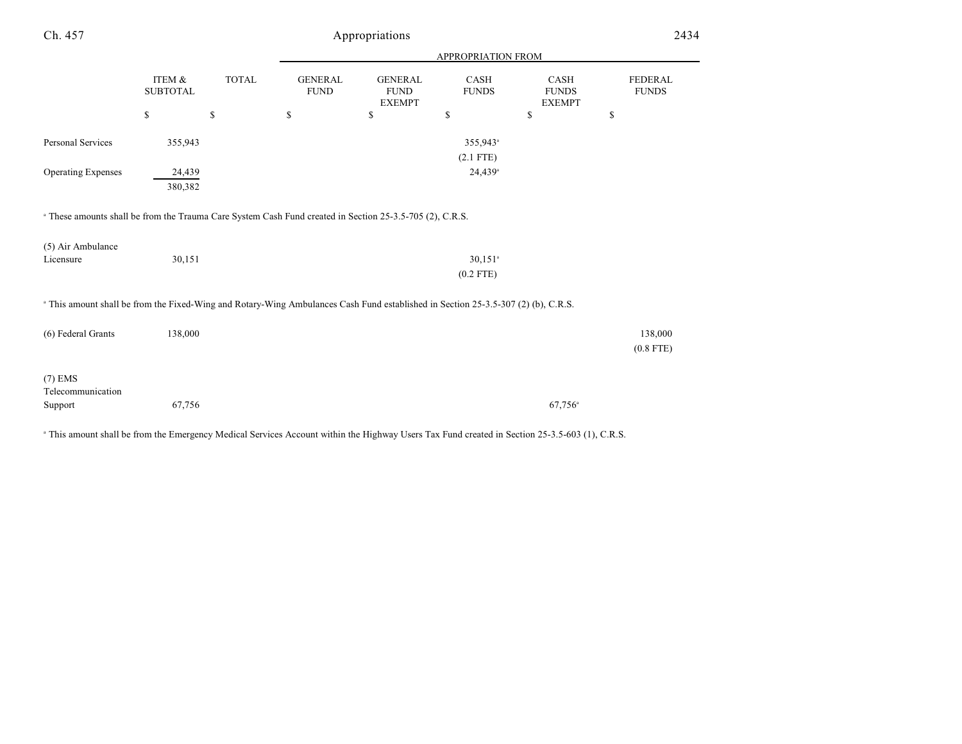| Ch. 457                                                                                                                                      |                           |              |                               | Appropriations                                 |                       |                                       | 2434                           |
|----------------------------------------------------------------------------------------------------------------------------------------------|---------------------------|--------------|-------------------------------|------------------------------------------------|-----------------------|---------------------------------------|--------------------------------|
|                                                                                                                                              |                           |              |                               |                                                | APPROPRIATION FROM    |                                       |                                |
|                                                                                                                                              | ITEM &<br><b>SUBTOTAL</b> | <b>TOTAL</b> | <b>GENERAL</b><br><b>FUND</b> | <b>GENERAL</b><br><b>FUND</b><br><b>EXEMPT</b> | CASH<br><b>FUNDS</b>  | CASH<br><b>FUNDS</b><br><b>EXEMPT</b> | <b>FEDERAL</b><br><b>FUNDS</b> |
|                                                                                                                                              | \$                        | \$           | \$                            | \$                                             | \$                    | \$                                    | \$                             |
| Personal Services                                                                                                                            | 355,943                   |              |                               |                                                | 355,943 <sup>a</sup>  |                                       |                                |
|                                                                                                                                              |                           |              |                               |                                                | $(2.1$ FTE)           |                                       |                                |
| <b>Operating Expenses</b>                                                                                                                    | 24,439                    |              |                               |                                                | $24,439$ <sup>a</sup> |                                       |                                |
|                                                                                                                                              | 380,382                   |              |                               |                                                |                       |                                       |                                |
| <sup>a</sup> These amounts shall be from the Trauma Care System Cash Fund created in Section 25-3.5-705 (2), C.R.S.                          |                           |              |                               |                                                |                       |                                       |                                |
| (5) Air Ambulance                                                                                                                            |                           |              |                               |                                                |                       |                                       |                                |
| Licensure                                                                                                                                    | 30,151                    |              |                               |                                                | $30,151$ <sup>a</sup> |                                       |                                |
|                                                                                                                                              |                           |              |                               |                                                | $(0.2$ FTE)           |                                       |                                |
| <sup>a</sup> This amount shall be from the Fixed-Wing and Rotary-Wing Ambulances Cash Fund established in Section 25-3.5-307 (2) (b), C.R.S. |                           |              |                               |                                                |                       |                                       |                                |
| (6) Federal Grants                                                                                                                           | 138,000                   |              |                               |                                                |                       |                                       | 138,000                        |
|                                                                                                                                              |                           |              |                               |                                                |                       |                                       | $(0.8$ FTE)                    |
| $(7)$ EMS                                                                                                                                    |                           |              |                               |                                                |                       |                                       |                                |
| Telecommunication                                                                                                                            | 67,756                    |              |                               |                                                |                       | $67,756^{\circ}$                      |                                |
| Support                                                                                                                                      |                           |              |                               |                                                |                       |                                       |                                |

This amount shall be from the Emergency Medical Services Account within the Highway Users Tax Fund created in Section 25-3.5-603 (1), C.R.S.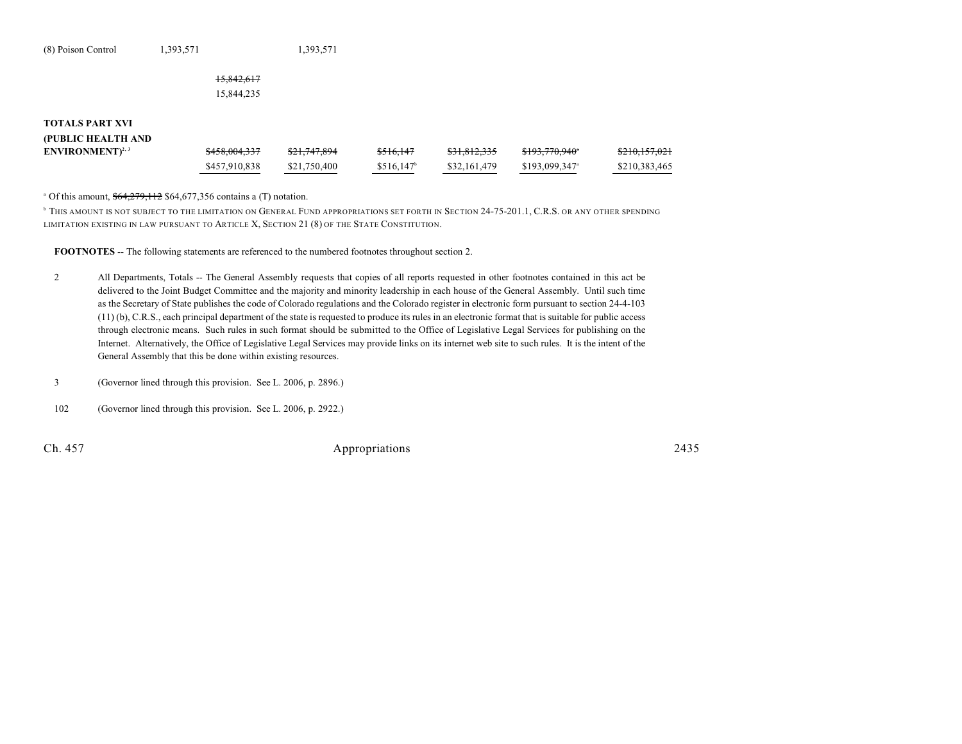| (8) Poison Control | 1,393,571  | 1,393,571 |
|--------------------|------------|-----------|
|                    |            |           |
|                    | 15,842,617 |           |
|                    | 15,844,235 |           |
|                    |            |           |
|                    |            |           |

| (PUBLIC HEALTH AND         |               |              |           |                         |                            |                             |
|----------------------------|---------------|--------------|-----------|-------------------------|----------------------------|-----------------------------|
| ENVIRONMENT <sup>2,3</sup> | \$458,004,337 | \$21,747,894 | \$516.147 | <del>\$31,812,335</del> | <del>\$193,770,940</del> * | 0.1015701<br>5210, 137, 021 |
|                            | \$457,910,838 | \$21,750,400 | \$516,147 | \$32,161,479            | \$193,099,347 <sup>a</sup> | \$210,383,465               |

 $^{\circ}$  Of this amount,  $$64,279,112$  \$64,677,356 contains a (T) notation.

**THIS AMOUNT IS NOT SUBJECT TO THE LIMITATION ON GENERAL FUND APPROPRIATIONS SET FORTH IN SECTION 24-75-201.1, C.R.S. OR ANY OTHER SPENDING** LIMITATION EXISTING IN LAW PURSUANT TO ARTICLE X, SECTION 21 (8) OF THE STATE CONSTITUTION.

**FOOTNOTES** -- The following statements are referenced to the numbered footnotes throughout section 2.

- 2 All Departments, Totals -- The General Assembly requests that copies of all reports requested in other footnotes contained in this act be delivered to the Joint Budget Committee and the majority and minority leadership in each house of the General Assembly. Until such time as the Secretary of State publishes the code of Colorado regulations and the Colorado register in electronic form pursuant to section 24-4-103 (11) (b), C.R.S., each principal department of the state is requested to produce its rules in an electronic format that is suitable for public access through electronic means. Such rules in such format should be submitted to the Office of Legislative Legal Services for publishing on the Internet. Alternatively, the Office of Legislative Legal Services may provide links on its internet web site to such rules. It is the intent of the General Assembly that this be done within existing resources.
- 3 (Governor lined through this provision. See L. 2006, p. 2896.)
- 102 (Governor lined through this provision. See L. 2006, p. 2922.)

**TOTALS PART XVI**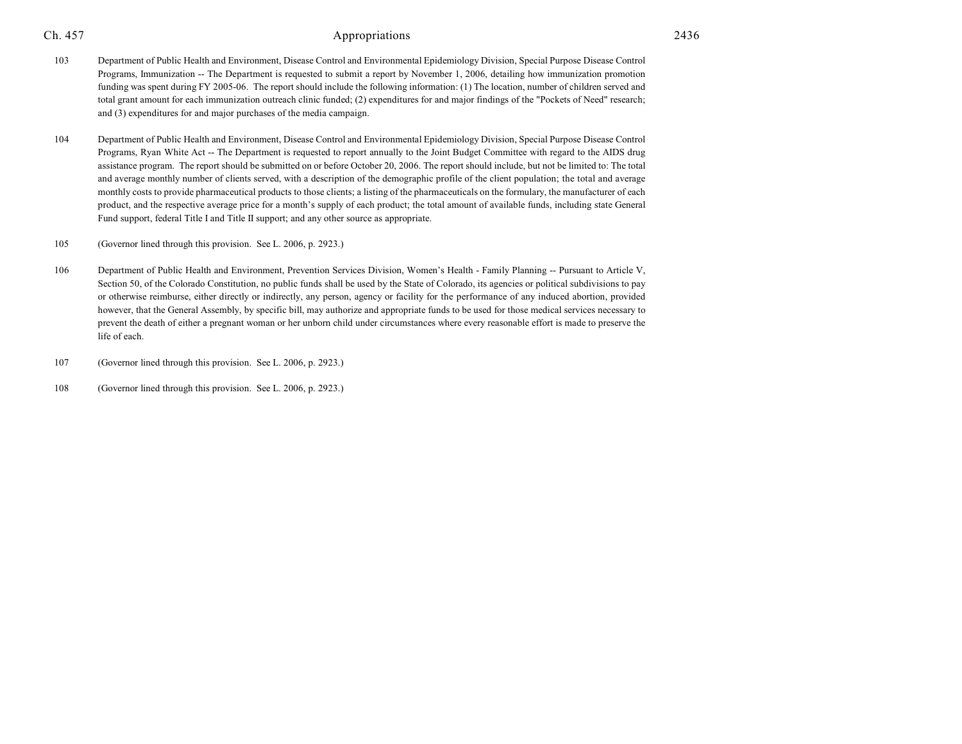- 103 Department of Public Health and Environment, Disease Control and Environmental Epidemiology Division, Special Purpose Disease Control Programs, Immunization -- The Department is requested to submit a report by November 1, 2006, detailing how immunization promotion funding was spent during FY 2005-06. The report should include the following information: (1) The location, number of children served and total grant amount for each immunization outreach clinic funded; (2) expenditures for and major findings of the "Pockets of Need" research; and (3) expenditures for and major purchases of the media campaign.
- 104 Department of Public Health and Environment, Disease Control and Environmental Epidemiology Division, Special Purpose Disease Control Programs, Ryan White Act -- The Department is requested to report annually to the Joint Budget Committee with regard to the AIDS drug assistance program. The report should be submitted on or before October 20, 2006. The report should include, but not be limited to: The total and average monthly number of clients served, with a description of the demographic profile of the client population; the total and average monthly costs to provide pharmaceutical products to those clients; a listing of the pharmaceuticals on the formulary, the manufacturer of each product, and the respective average price for a month's supply of each product; the total amount of available funds, including state General Fund support, federal Title I and Title II support; and any other source as appropriate.
- 105 (Governor lined through this provision. See L. 2006, p. 2923.)
- 106 Department of Public Health and Environment, Prevention Services Division, Women's Health Family Planning -- Pursuant to Article V, Section 50, of the Colorado Constitution, no public funds shall be used by the State of Colorado, its agencies or political subdivisions to pay or otherwise reimburse, either directly or indirectly, any person, agency or facility for the performance of any induced abortion, provided however, that the General Assembly, by specific bill, may authorize and appropriate funds to be used for those medical services necessary to prevent the death of either a pregnant woman or her unborn child under circumstances where every reasonable effort is made to preserve the life of each.
- 107 (Governor lined through this provision. See L. 2006, p. 2923.)
- 108 (Governor lined through this provision. See L. 2006, p. 2923.)